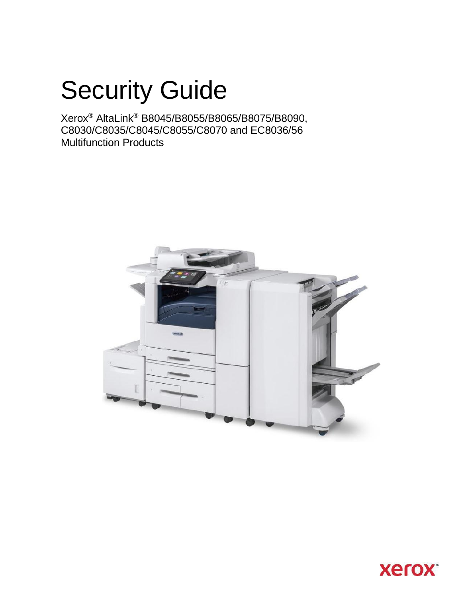# Security Guide



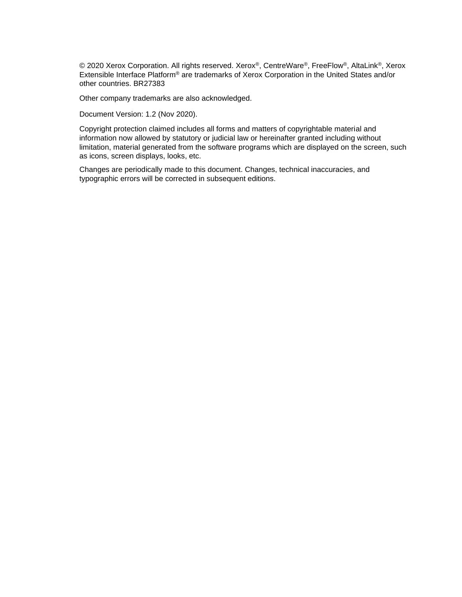© 2020 Xerox Corporation. All rights reserved. Xerox®, CentreWare®, FreeFlow®, AltaLink®, Xerox Extensible Interface Platform® are trademarks of Xerox Corporation in the United States and/or other countries. BR27383

Other company trademarks are also acknowledged.

Document Version: 1.2 (Nov 2020).

Copyright protection claimed includes all forms and matters of copyrightable material and information now allowed by statutory or judicial law or hereinafter granted including without limitation, material generated from the software programs which are displayed on the screen, such as icons, screen displays, looks, etc.

Changes are periodically made to this document. Changes, technical inaccuracies, and typographic errors will be corrected in subsequent editions.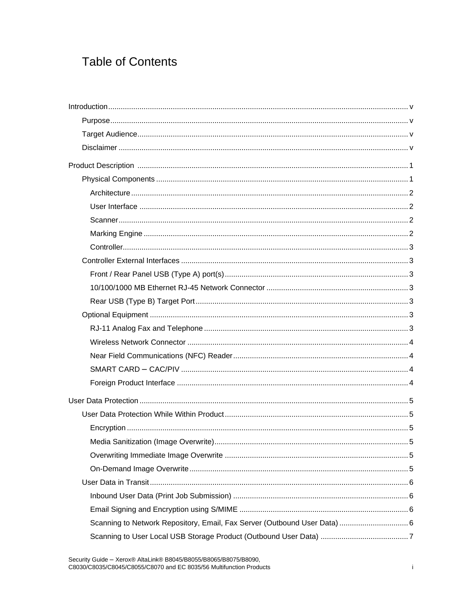# **Table of Contents**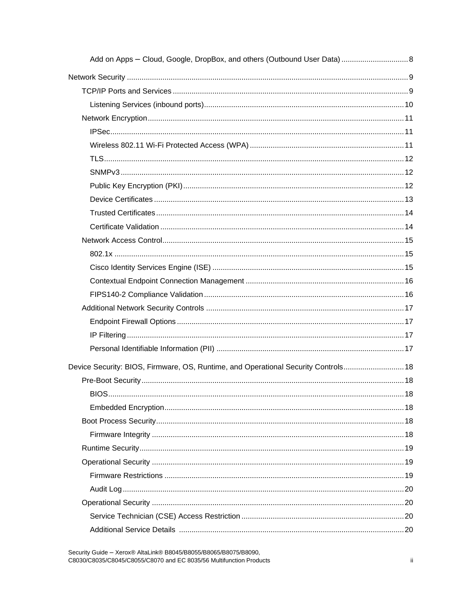| Device Security: BIOS, Firmware, OS, Runtime, and Operational Security Controls 18 |  |
|------------------------------------------------------------------------------------|--|
|                                                                                    |  |
|                                                                                    |  |
|                                                                                    |  |
|                                                                                    |  |
|                                                                                    |  |
|                                                                                    |  |
|                                                                                    |  |
|                                                                                    |  |
|                                                                                    |  |
|                                                                                    |  |
|                                                                                    |  |
|                                                                                    |  |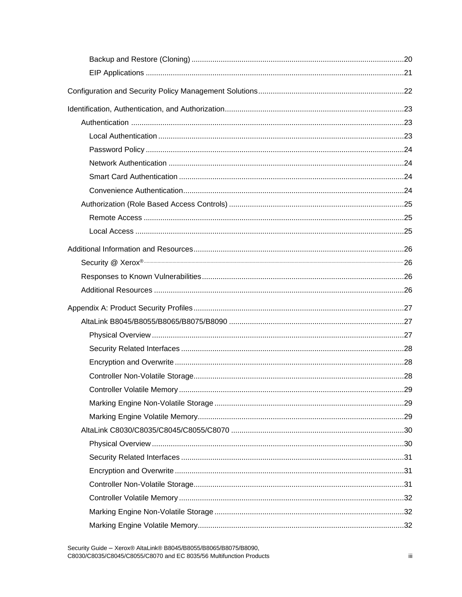| .29 |
|-----|
|     |
|     |
|     |
|     |
|     |
|     |
|     |
|     |
|     |
|     |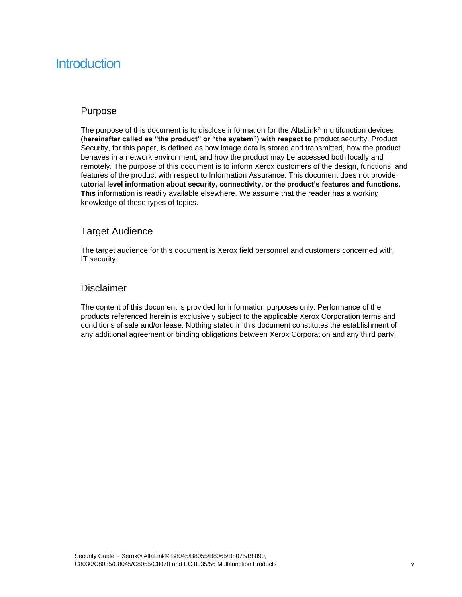# **Introduction**

### Purpose

The purpose of this document is to disclose information for the AltaLink® multifunction devices **(hereinafter called as "the product" or "the system") with respect to** product security. Product Security, for this paper, is defined as how image data is stored and transmitted, how the product behaves in a network environment, and how the product may be accessed both locally and remotely. The purpose of this document is to inform Xerox customers of the design, functions, and features of the product with respect to Information Assurance. This document does not provide **tutorial level information about security, connectivity, or the product's features and functions. This** information is readily available elsewhere. We assume that the reader has a working knowledge of these types of topics.

## Target Audience

The target audience for this document is Xerox field personnel and customers concerned with IT security.

### Disclaimer

The content of this document is provided for information purposes only. Performance of the products referenced herein is exclusively subject to the applicable Xerox Corporation terms and conditions of sale and/or lease. Nothing stated in this document constitutes the establishment of any additional agreement or binding obligations between Xerox Corporation and any third party.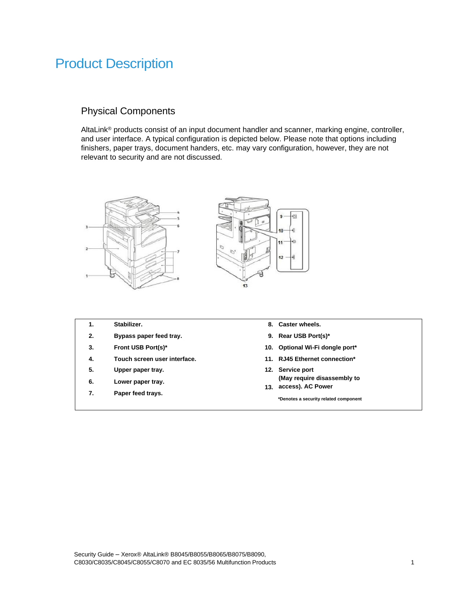# Product Description

# Physical Components

**7. Paper feed trays.**

AltaLink® products consist of an input document handler and scanner, marking engine, controller, and user interface. A typical configuration is depicted below. Please note that options including finishers, paper trays, document handers, etc. may vary configuration, however, they are not relevant to security and are not discussed.



- **1. Stabilizer. 8. Caster wheels. 2. Bypass paper feed tray. 9. Rear USB Port(s)\* 3. Front USB Port(s)\* 10. Optional Wi-Fi dongle port\* 4. Touch screen user interface. 11. RJ45 Ethernet connection\* 5. Upper paper tray. 12. Service port 6. Lower paper tray. (May require disassembly to** 
	- **13. access). AC Power**

**\*Denotes a security related component**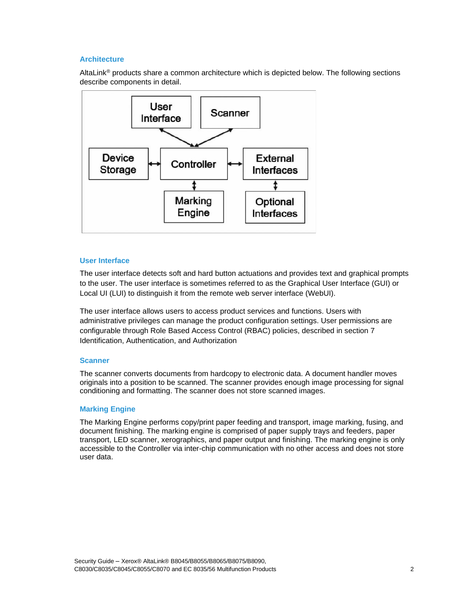#### **Architecture**

AltaLink® products share a common architecture which is depicted below. The following sections describe components in detail.



#### **User Interface**

The user interface detects soft and hard button actuations and provides text and graphical prompts to the user. The user interface is sometimes referred to as the Graphical User Interface (GUI) or Local UI (LUI) to distinguish it from the remote web server interface (WebUI).

The user interface allows users to access product services and functions. Users with administrative privileges can manage the product configuration settings. User permissions are configurable through Role Based Access Control (RBAC) policies, described in section 7 Identification, Authentication, and Authorization

#### **Scanner**

The scanner converts documents from hardcopy to electronic data. A document handler moves originals into a position to be scanned. The scanner provides enough image processing for signal conditioning and formatting. The scanner does not store scanned images.

#### **Marking Engine**

The Marking Engine performs copy/print paper feeding and transport, image marking, fusing, and document finishing. The marking engine is comprised of paper supply trays and feeders, paper transport, LED scanner, xerographics, and paper output and finishing. The marking engine is only accessible to the Controller via inter-chip communication with no other access and does not store user data.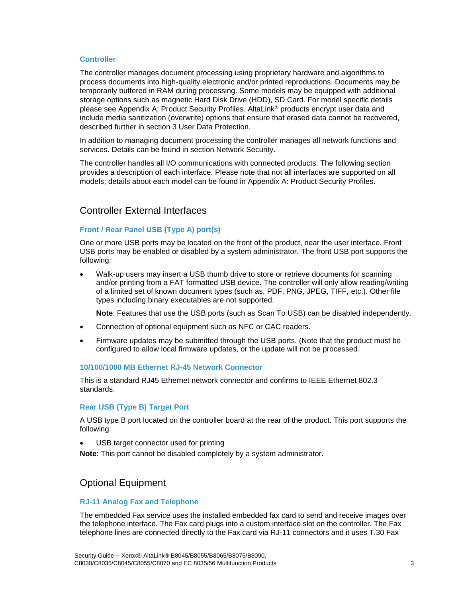#### **Controller**

The controller manages document processing using proprietary hardware and algorithms to process documents into high-quality electronic and/or printed reproductions. Documents may be temporarily buffered in RAM during processing. Some models may be equipped with additional storage options such as magnetic Hard Disk Drive (HDD), SD Card. For model specific details please see Appendix A: Product Security Profiles. AltaLink® products encrypt user data and include media sanitization (overwrite) options that ensure that erased data cannot be recovered, described further in section 3 User Data Protection.

In addition to managing document processing the controller manages all network functions and services. Details can be found in section Network Security.

The controller handles all I/O communications with connected products. The following section provides a description of each interface. Please note that not all interfaces are supported on all models; details about each model can be found in Appendix A: Product Security Profiles.

### Controller External Interfaces

#### **Front / Rear Panel USB (Type A) port(s)**

One or more USB ports may be located on the front of the product, near the user interface. Front USB ports may be enabled or disabled by a system administrator. The front USB port supports the following:

• Walk-up users may insert a USB thumb drive to store or retrieve documents for scanning and/or printing from a FAT formatted USB device. The controller will only allow reading/writing of a limited set of known document types (such as, PDF, PNG, JPEG, TIFF, etc.). Other file types including binary executables are not supported.

**Note**: Features that use the USB ports (such as Scan To USB) can be disabled independently.

- Connection of optional equipment such as NFC or CAC readers.
- Firmware updates may be submitted through the USB ports. (Note that the product must be configured to allow local firmware updates, or the update will not be processed.

#### **10/100/1000 MB Ethernet RJ-45 Network Connector**

This is a standard RJ45 Ethernet network connector and confirms to IEEE Ethernet 802.3 standards.

#### **Rear USB (Type B) Target Port**

A USB type B port located on the controller board at the rear of the product. This port supports the following:

USB target connector used for printing

**Note**: This port cannot be disabled completely by a system administrator.

### Optional Equipment

#### **RJ-11 Analog Fax and Telephone**

The embedded Fax service uses the installed embedded fax card to send and receive images over the telephone interface. The Fax card plugs into a custom interface slot on the controller. The Fax telephone lines are connected directly to the Fax card via RJ-11 connectors and it uses T.30 Fax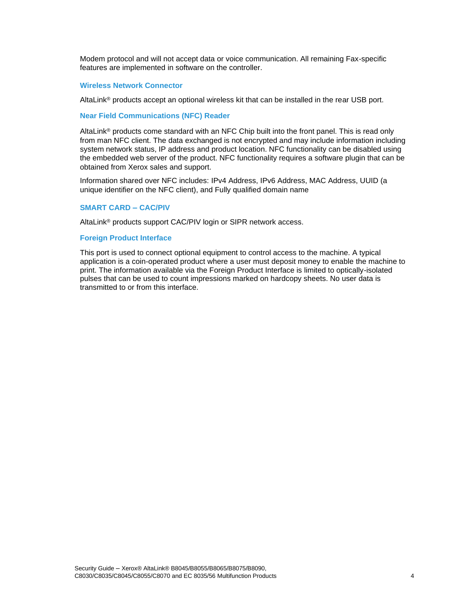Modem protocol and will not accept data or voice communication. All remaining Fax-specific features are implemented in software on the controller.

#### **Wireless Network Connector**

AltaLink® products accept an optional wireless kit that can be installed in the rear USB port.

#### **Near Field Communications (NFC) Reader**

AltaLink® products come standard with an NFC Chip built into the front panel. This is read only from man NFC client. The data exchanged is not encrypted and may include information including system network status, IP address and product location. NFC functionality can be disabled using the embedded web server of the product. NFC functionality requires a software plugin that can be obtained from Xerox sales and support.

Information shared over NFC includes: IPv4 Address, IPv6 Address, MAC Address, UUID (a unique identifier on the NFC client), and Fully qualified domain name

#### **SMART CARD – CAC/PIV**

AltaLink® products support CAC/PIV login or SIPR network access.

#### **Foreign Product Interface**

This port is used to connect optional equipment to control access to the machine. A typical application is a coin-operated product where a user must deposit money to enable the machine to print. The information available via the Foreign Product Interface is limited to optically-isolated pulses that can be used to count impressions marked on hardcopy sheets. No user data is transmitted to or from this interface.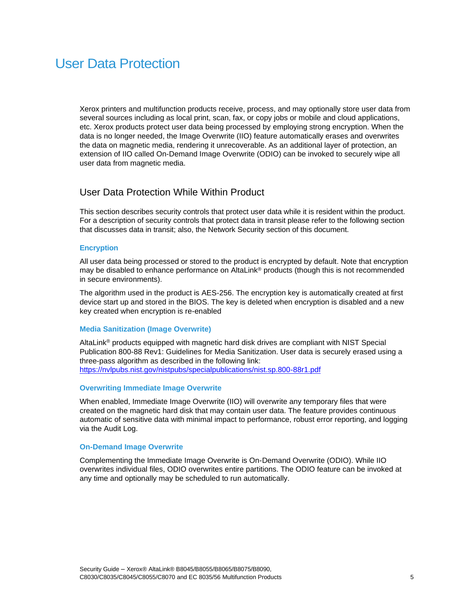# User Data Protection

Xerox printers and multifunction products receive, process, and may optionally store user data from several sources including as local print, scan, fax, or copy jobs or mobile and cloud applications, etc. Xerox products protect user data being processed by employing strong encryption. When the data is no longer needed, the Image Overwrite (IIO) feature automatically erases and overwrites the data on magnetic media, rendering it unrecoverable. As an additional layer of protection, an extension of IIO called On-Demand Image Overwrite (ODIO) can be invoked to securely wipe all user data from magnetic media.

### User Data Protection While Within Product

This section describes security controls that protect user data while it is resident within the product. For a description of security controls that protect data in transit please refer to the following section that discusses data in transit; also, the Network Security section of this document.

#### **Encryption**

All user data being processed or stored to the product is encrypted by default. Note that encryption may be disabled to enhance performance on AltaLink® products (though this is not recommended in secure environments).

The algorithm used in the product is AES-256. The encryption key is automatically created at first device start up and stored in the BIOS. The key is deleted when encryption is disabled and a new key created when encryption is re-enabled

#### **Media Sanitization (Image Overwrite)**

AltaLink<sup>®</sup> products equipped with magnetic hard disk drives are compliant with NIST Special Publication 800-88 Rev1: Guidelines for Media Sanitization. User data is securely erased using a three-pass algorithm as described in the following link: <https://nvlpubs.nist.gov/nistpubs/specialpublications/nist.sp.800-88r1.pdf>

#### **Overwriting Immediate Image Overwrite**

When enabled, Immediate Image Overwrite (IIO) will overwrite any temporary files that were created on the magnetic hard disk that may contain user data. The feature provides continuous automatic of sensitive data with minimal impact to performance, robust error reporting, and logging via the Audit Log.

#### **On-Demand Image Overwrite**

Complementing the Immediate Image Overwrite is On-Demand Overwrite (ODIO). While IIO overwrites individual files, ODIO overwrites entire partitions. The ODIO feature can be invoked at any time and optionally may be scheduled to run automatically.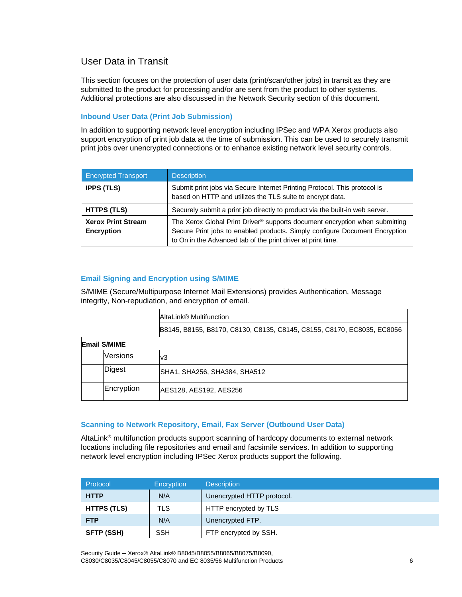# User Data in Transit

This section focuses on the protection of user data (print/scan/other jobs) in transit as they are submitted to the product for processing and/or are sent from the product to other systems. Additional protections are also discussed in the Network Security section of this document.

#### **Inbound User Data (Print Job Submission)**

In addition to supporting network level encryption including IPSec and WPA Xerox products also support encryption of print job data at the time of submission. This can be used to securely transmit print jobs over unencrypted connections or to enhance existing network level security controls.

| <b>Encrypted Transport</b>                                                                                                                                                                                                                                            | <b>Description</b>                                                           |  |
|-----------------------------------------------------------------------------------------------------------------------------------------------------------------------------------------------------------------------------------------------------------------------|------------------------------------------------------------------------------|--|
| Submit print jobs via Secure Internet Printing Protocol. This protocol is<br><b>IPPS (TLS)</b><br>based on HTTP and utilizes the TLS suite to encrypt data.                                                                                                           |                                                                              |  |
| <b>HTTPS (TLS)</b>                                                                                                                                                                                                                                                    | Securely submit a print job directly to product via the built-in web server. |  |
| The Xerox Global Print Driver® supports document encryption when submitting<br><b>Xerox Print Stream</b><br>Secure Print jobs to enabled products. Simply configure Document Encryption<br>Encryption<br>to On in the Advanced tab of the print driver at print time. |                                                                              |  |

#### **Email Signing and Encryption using S/MIME**

S/MIME (Secure/Multipurpose Internet Mail Extensions) provides Authentication, Message integrity, Non-repudiation, and encryption of email.

| AltaLink® Multifunction                                                |  |
|------------------------------------------------------------------------|--|
| B8145, B8155, B8170, C8130, C8135, C8145, C8155, C8170, EC8035, EC8056 |  |

| <b>Email S/MIME</b> |                 |                              |
|---------------------|-----------------|------------------------------|
|                     | <b>Versions</b> | lv3                          |
|                     | Digest          | SHA1, SHA256, SHA384, SHA512 |
|                     | Encryption      | AES128, AES192, AES256       |

#### **Scanning to Network Repository, Email, Fax Server (Outbound User Data)**

AltaLink® multifunction products support scanning of hardcopy documents to external network locations including file repositories and email and facsimile services. In addition to supporting network level encryption including IPSec Xerox products support the following.

| Protocol           | Encryption | <b>Description</b>         |  |
|--------------------|------------|----------------------------|--|
| <b>HTTP</b>        | N/A        | Unencrypted HTTP protocol. |  |
| <b>HTTPS (TLS)</b> | <b>TLS</b> | HTTP encrypted by TLS      |  |
| <b>FTP</b>         | N/A        | Unencrypted FTP.           |  |
| <b>SFTP (SSH)</b>  | <b>SSH</b> | FTP encrypted by SSH.      |  |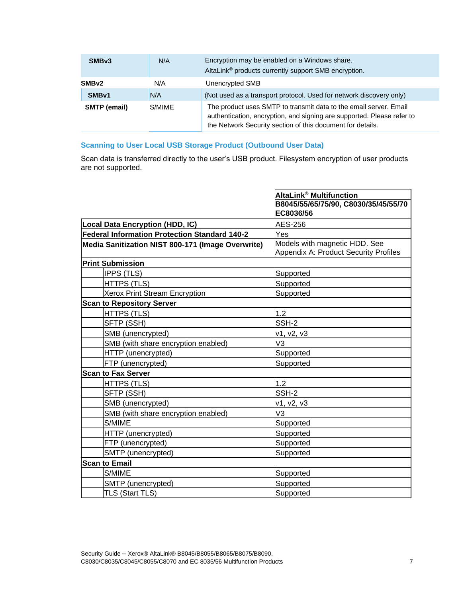| SMB <sub>v3</sub>             | N/A | Encryption may be enabled on a Windows share.<br>AltaLink <sup>®</sup> products currently support SMB encryption.                                                                                         |  |
|-------------------------------|-----|-----------------------------------------------------------------------------------------------------------------------------------------------------------------------------------------------------------|--|
| SMB <sub>v2</sub>             | N/A | Unencrypted SMB                                                                                                                                                                                           |  |
| SMB <sub>v1</sub>             | N/A | (Not used as a transport protocol. Used for network discovery only)                                                                                                                                       |  |
| <b>SMTP</b> (email)<br>S/MIME |     | The product uses SMTP to transmit data to the email server. Email<br>authentication, encryption, and signing are supported. Please refer to<br>the Network Security section of this document for details. |  |

#### **Scanning to User Local USB Storage Product (Outbound User Data)**

Scan data is transferred directly to the user's USB product. Filesystem encryption of user products are not supported.

|                                                   | AltaLink® Multifunction                                                |
|---------------------------------------------------|------------------------------------------------------------------------|
|                                                   | B8045/55/65/75/90, C8030/35/45/55/70<br>EC8036/56                      |
| <b>Local Data Encryption (HDD, IC)</b>            | <b>AES-256</b>                                                         |
| Federal Information Protection Standard 140-2     | Yes                                                                    |
| Media Sanitization NIST 800-171 (Image Overwrite) | Models with magnetic HDD. See<br>Appendix A: Product Security Profiles |
| <b>Print Submission</b>                           |                                                                        |
| <b>IPPS (TLS)</b>                                 | Supported                                                              |
| HTTPS (TLS)                                       | Supported                                                              |
| Xerox Print Stream Encryption                     | Supported                                                              |
| <b>Scan to Repository Server</b>                  |                                                                        |
| <b>HTTPS (TLS)</b>                                | 1.2                                                                    |
| SFTP (SSH)                                        | SSH-2                                                                  |
| SMB (unencrypted)                                 | v1, v2, v3                                                             |
| SMB (with share encryption enabled)               | V <sub>3</sub>                                                         |
| HTTP (unencrypted)                                | Supported                                                              |
| FTP (unencrypted)                                 | Supported                                                              |
| <b>Scan to Fax Server</b>                         |                                                                        |
| <b>HTTPS (TLS)</b>                                | 1.2                                                                    |
| SFTP (SSH)                                        | SSH-2                                                                  |
| SMB (unencrypted)                                 | v1, v2, v3                                                             |
| SMB (with share encryption enabled)               | V3                                                                     |
| S/MIME                                            | Supported                                                              |
| HTTP (unencrypted)                                | Supported                                                              |
| FTP (unencrypted)                                 | Supported                                                              |
| SMTP (unencrypted)                                | Supported                                                              |
| <b>Scan to Email</b>                              |                                                                        |
| S/MIME                                            | Supported                                                              |
| SMTP (unencrypted)                                | Supported                                                              |
| TLS (Start TLS)                                   | Supported                                                              |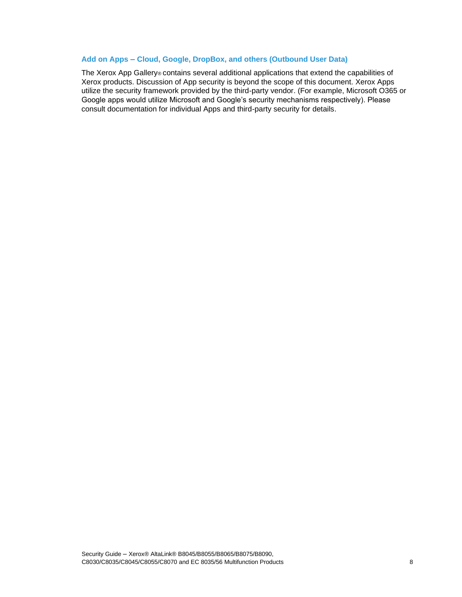#### **Add on Apps – Cloud, Google, DropBox, and others (Outbound User Data)**

The Xerox App Gallery® contains several additional applications that extend the capabilities of Xerox products. Discussion of App security is beyond the scope of this document. Xerox Apps utilize the security framework provided by the third-party vendor. (For example, Microsoft O365 or Google apps would utilize Microsoft and Google's security mechanisms respectively). Please consult documentation for individual Apps and third-party security for details.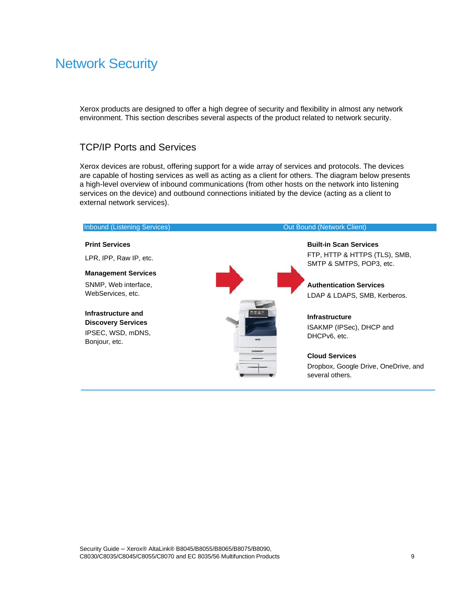# Network Security

Xerox products are designed to offer a high degree of security and flexibility in almost any network environment. This section describes several aspects of the product related to network security.

## TCP/IP Ports and Services

Xerox devices are robust, offering support for a wide array of services and protocols. The devices are capable of hosting services as well as acting as a client for others. The diagram below presents a high-level overview of inbound communications (from other hosts on the network into listening services on the device) and outbound connections initiated by the device (acting as a client to external network services).

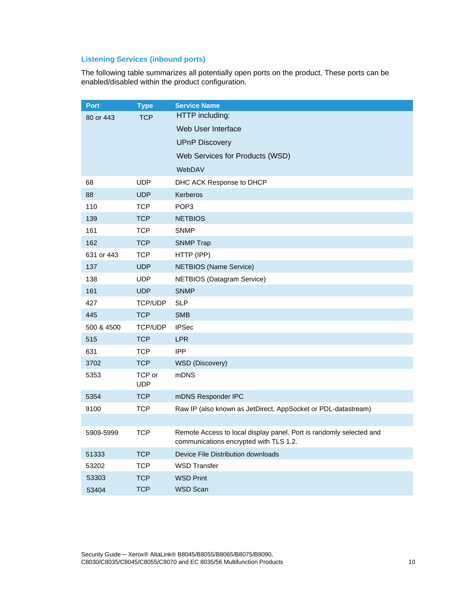### **Listening Services (inbound ports)**

The following table summarizes all potentially open ports on the product. These ports can be enabled/disabled within the product configuration.

| <b>Port</b>                                                            | <b>Type</b>          | <b>Service Name</b>                                                                                           |  |
|------------------------------------------------------------------------|----------------------|---------------------------------------------------------------------------------------------------------------|--|
| <b>TCP</b><br>80 or 443                                                |                      | HTTP including:                                                                                               |  |
|                                                                        |                      | Web User Interface                                                                                            |  |
|                                                                        |                      | <b>UPnP Discovery</b>                                                                                         |  |
|                                                                        |                      | Web Services for Products (WSD)                                                                               |  |
|                                                                        |                      | WebDAV                                                                                                        |  |
| 68                                                                     | <b>UDP</b>           | DHC ACK Response to DHCP                                                                                      |  |
| 88                                                                     | <b>UDP</b>           | Kerberos                                                                                                      |  |
| 110                                                                    | <b>TCP</b>           | POP <sub>3</sub>                                                                                              |  |
| 139                                                                    | <b>TCP</b>           | <b>NETBIOS</b>                                                                                                |  |
| 161                                                                    | <b>TCP</b>           | <b>SNMP</b>                                                                                                   |  |
| 162                                                                    | <b>TCP</b>           | <b>SNMP Trap</b>                                                                                              |  |
| 631 or 443                                                             | <b>TCP</b>           | HTTP (IPP)                                                                                                    |  |
| 137                                                                    | <b>UDP</b>           | <b>NETBIOS</b> (Name Service)                                                                                 |  |
| 138                                                                    | <b>UDP</b>           | <b>NETBIOS</b> (Datagram Service)                                                                             |  |
| 161                                                                    | <b>UDP</b>           | <b>SNMP</b>                                                                                                   |  |
| 427<br><b>TCP/UDP</b><br><b>SLP</b><br><b>TCP</b><br>445<br><b>SMB</b> |                      |                                                                                                               |  |
|                                                                        |                      |                                                                                                               |  |
| 500 & 4500                                                             | <b>TCP/UDP</b>       | <b>IPSec</b>                                                                                                  |  |
| 515                                                                    | <b>TCP</b>           | <b>LPR</b>                                                                                                    |  |
| 631                                                                    | <b>TCP</b>           | <b>IPP</b>                                                                                                    |  |
| 3702                                                                   | <b>TCP</b>           | WSD (Discovery)                                                                                               |  |
| 5353                                                                   | TCP or<br><b>UDP</b> | mDNS                                                                                                          |  |
| 5354                                                                   | <b>TCP</b>           | mDNS Responder IPC                                                                                            |  |
| 9100                                                                   | <b>TCP</b>           | Raw IP (also known as JetDirect, AppSocket or PDL-datastream)                                                 |  |
|                                                                        |                      |                                                                                                               |  |
| 5909-5999                                                              | <b>TCP</b>           | Remote Access to local display panel. Port is randomly selected and<br>communications encrypted with TLS 1.2. |  |
| 51333                                                                  | <b>TCP</b>           | Device File Distribution downloads                                                                            |  |
| <b>TCP</b><br><b>WSD Transfer</b><br>53202                             |                      |                                                                                                               |  |
| 53303                                                                  | <b>TCP</b>           | <b>WSD Print</b>                                                                                              |  |
| <b>TCP</b><br>53404                                                    |                      | WSD Scan                                                                                                      |  |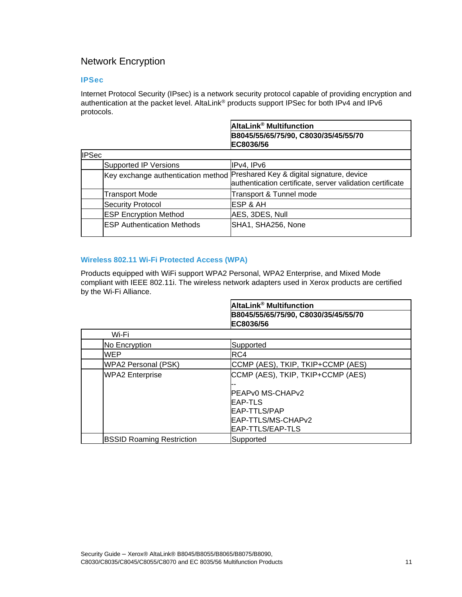# Network Encryption

#### **IPSec**

Internet Protocol Security (IPsec) is a network security protocol capable of providing encryption and authentication at the packet level. AltaLink® products support IPSec for both IPv4 and IPv6 protocols.

|              |                                   | AltaLink <sup>®</sup> Multifunction                                          |
|--------------|-----------------------------------|------------------------------------------------------------------------------|
|              |                                   | B8045/55/65/75/90, C8030/35/45/55/70                                         |
|              |                                   | EC8036/56                                                                    |
| <b>IPSec</b> |                                   |                                                                              |
|              | <b>Supported IP Versions</b>      | IPv4, IPv6                                                                   |
|              |                                   | Key exchange authentication method Preshared Key & digital signature, device |
|              |                                   | authentication certificate, server validation certificate                    |
|              | <b>Transport Mode</b>             | Transport & Tunnel mode                                                      |
|              | <b>Security Protocol</b>          | <b>IESP &amp; AH</b>                                                         |
|              | <b>ESP Encryption Method</b>      | AES, 3DES, Null                                                              |
|              | <b>ESP Authentication Methods</b> | SHA1, SHA256, None                                                           |
|              |                                   |                                                                              |

#### **Wireless 802.11 Wi-Fi Protected Access (WPA)**

Products equipped with WiFi support WPA2 Personal, WPA2 Enterprise, and Mixed Mode compliant with IEEE 802.11i. The wireless network adapters used in Xerox products are certified by the Wi-Fi Alliance.

|                                  | AltaLink® Multifunction              |
|----------------------------------|--------------------------------------|
|                                  | B8045/55/65/75/90, C8030/35/45/55/70 |
|                                  | EC8036/56                            |
| Wi-Fi                            |                                      |
| No Encryption                    | Supported                            |
| WEP                              | RC4                                  |
| <b>WPA2 Personal (PSK)</b>       | CCMP (AES), TKIP, TKIP+CCMP (AES)    |
| <b>WPA2 Enterprise</b>           | CCMP (AES), TKIP, TKIP+CCMP (AES)    |
|                                  |                                      |
|                                  | PEAPv0 MS-CHAPv2                     |
|                                  | EAP-TLS                              |
|                                  | EAP-TTLS/PAP                         |
|                                  | EAP-TTLS/MS-CHAPv2                   |
|                                  | IEAP-TTLS/EAP-TLS                    |
| <b>BSSID Roaming Restriction</b> | Supported                            |

 $\overline{\phantom{a}}$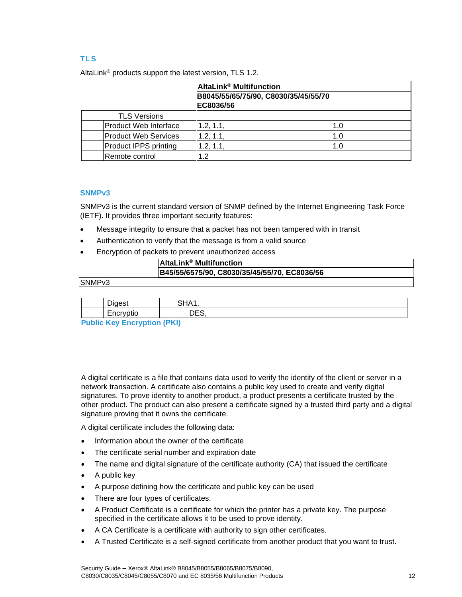### **TLS**

|                              | AltaLink <sup>®</sup> Multifunction |                                      |
|------------------------------|-------------------------------------|--------------------------------------|
|                              | EC8036/56                           | B8045/55/65/75/90, C8030/35/45/55/70 |
| <b>TLS Versions</b>          |                                     |                                      |
| Product Web Interface        | 1.2, 1.1,                           | 1.0                                  |
| Product Web Services         | 1.2, 1.1,                           | 1.0                                  |
| <b>Product IPPS printing</b> | .2, 1.1,                            | 1.0                                  |
| Remote control               | $\cdot$ .2                          |                                      |

AltaLink® products support the latest version, TLS 1.2.

#### **SNMPv3**

SNMPv3 is the current standard version of SNMP defined by the Internet Engineering Task Force (IETF). It provides three important security features:

- Message integrity to ensure that a packet has not been tampered with in transit
- Authentication to verify that the message is from a valid source
- Encryption of packets to prevent unauthorized access

| <b>AltaLink<sup>®</sup> Multifunction</b>    |
|----------------------------------------------|
| B45/55/6575/90, C8030/35/45/55/70, EC8036/56 |
|                                              |

#### SNMPv3

| $-$                | CU A<br>            |  |
|--------------------|---------------------|--|
| -<br>-<br>---<br>. | r c<br>$\neg$<br>◡◡ |  |

**Public Key Encryption (PKI)** 

A digital certificate is a file that contains data used to verify the identity of the client or server in a network transaction. A certificate also contains a public key used to create and verify digital signatures. To prove identity to another product, a product presents a certificate trusted by the other product. The product can also present a certificate signed by a trusted third party and a digital signature proving that it owns the certificate.

A digital certificate includes the following data:

- Information about the owner of the certificate
- The certificate serial number and expiration date
- The name and digital signature of the certificate authority (CA) that issued the certificate
- A public key
- A purpose defining how the certificate and public key can be used
- There are four types of certificates:
- A Product Certificate is a certificate for which the printer has a private key. The purpose specified in the certificate allows it to be used to prove identity.
- A CA Certificate is a certificate with authority to sign other certificates.
- A Trusted Certificate is a self-signed certificate from another product that you want to trust.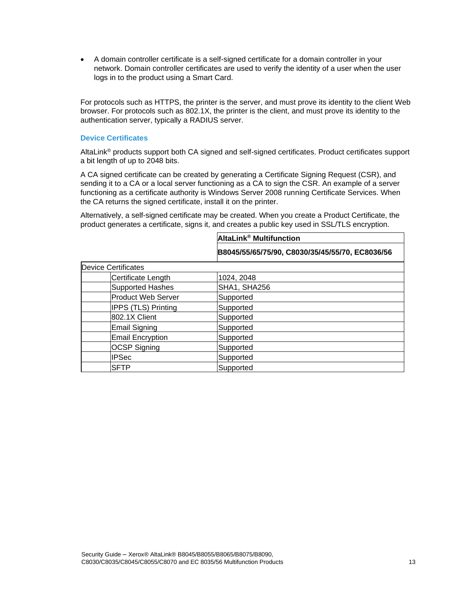• A domain controller certificate is a self-signed certificate for a domain controller in your network. Domain controller certificates are used to verify the identity of a user when the user logs in to the product using a Smart Card.

For protocols such as HTTPS, the printer is the server, and must prove its identity to the client Web browser. For protocols such as 802.1X, the printer is the client, and must prove its identity to the authentication server, typically a RADIUS server.

#### **Device Certificates**

AltaLink® products support both CA signed and self-signed certificates. Product certificates support a bit length of up to 2048 bits.

A CA signed certificate can be created by generating a Certificate Signing Request (CSR), and sending it to a CA or a local server functioning as a CA to sign the CSR. An example of a server functioning as a certificate authority is Windows Server 2008 running Certificate Services. When the CA returns the signed certificate, install it on the printer.

Alternatively, a self-signed certificate may be created. When you create a Product Certificate, the product generates a certificate, signs it, and creates a public key used in SSL/TLS encryption.

|                            | AltaLink <sup>®</sup> Multifunction             |  |
|----------------------------|-------------------------------------------------|--|
|                            | B8045/55/65/75/90, C8030/35/45/55/70, EC8036/56 |  |
| <b>Device Certificates</b> |                                                 |  |
| Certificate Length         | 1024, 2048                                      |  |
| <b>Supported Hashes</b>    | SHA1, SHA256                                    |  |
| <b>Product Web Server</b>  | Supported                                       |  |
| <b>IPPS (TLS) Printing</b> | Supported                                       |  |
| 802.1X Client              | Supported                                       |  |
| <b>Email Signing</b>       | Supported                                       |  |
| <b>Email Encryption</b>    | Supported                                       |  |
| <b>OCSP Signing</b>        | Supported                                       |  |
| <b>IPSec</b>               | Supported                                       |  |
| <b>SFTP</b>                | Supported                                       |  |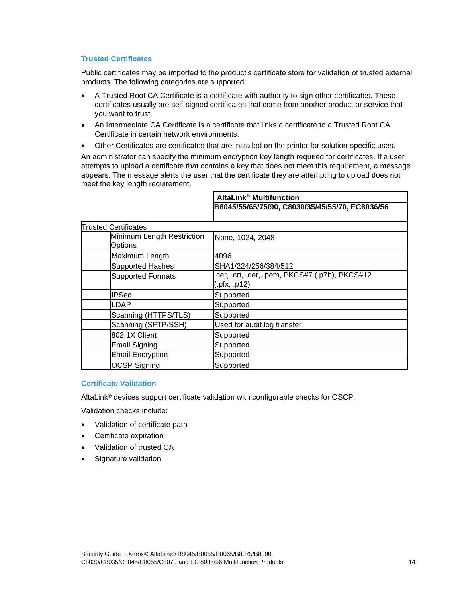#### **Trusted Certificates**

Public certificates may be imported to the product's certificate store for validation of trusted external products. The following categories are supported:

- A Trusted Root CA Certificate is a certificate with authority to sign other certificates. These certificates usually are self-signed certificates that come from another product or service that you want to trust.
- An Intermediate CA Certificate is a certificate that links a certificate to a Trusted Root CA Certificate in certain network environments.
- Other Certificates are certificates that are installed on the printer for solution-specific uses.

An administrator can specify the minimum encryption key length required for certificates. If a user attempts to upload a certificate that contains a key that does not meet this requirement, a message appears. The message alerts the user that the certificate they are attempting to upload does not meet the key length requirement.

|                                              | AltaLink <sup>®</sup> Multifunction                           |  |
|----------------------------------------------|---------------------------------------------------------------|--|
|                                              | B8045/55/65/75/90, C8030/35/45/55/70, EC8036/56               |  |
| <b>Trusted Certificates</b>                  |                                                               |  |
| Minimum Length Restriction<br><b>Options</b> | None, 1024, 2048                                              |  |
| Maximum Length                               | 4096                                                          |  |
| <b>Supported Hashes</b>                      | SHA1/224/256/384/512                                          |  |
| <b>Supported Formats</b>                     | cer, .crt, .der, .pem, PKCS#7 (.p7b), PKCS#12<br>(.pfx, .p12) |  |
| <b>IPSec</b>                                 | Supported                                                     |  |
| LDAP                                         | Supported                                                     |  |
| Scanning (HTTPS/TLS)                         | Supported                                                     |  |
| Scanning (SFTP/SSH)                          | Used for audit log transfer                                   |  |
| 802.1X Client                                | Supported                                                     |  |
| <b>Email Signing</b>                         | Supported                                                     |  |
| <b>Email Encryption</b>                      | Supported                                                     |  |
| <b>OCSP Signing</b>                          | Supported                                                     |  |

#### **Certificate Validation**

AltaLink® devices support certificate validation with configurable checks for OSCP.

Validation checks include:

- Validation of certificate path
- Certificate expiration
- Validation of trusted CA
- Signature validation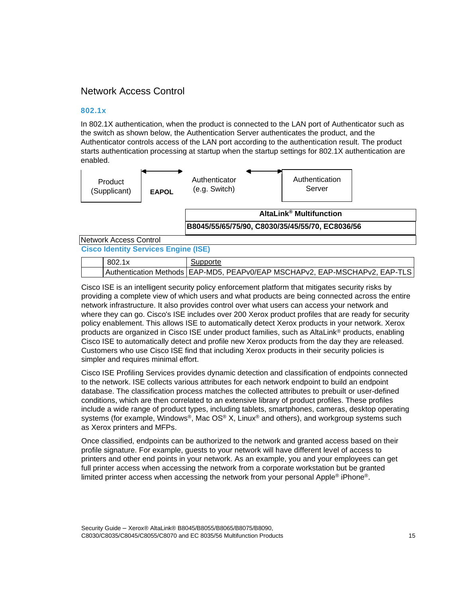### Network Access Control

#### **802.1x**

In 802.1X authentication, when the product is connected to the LAN port of Authenticator such as the switch as shown below, the Authentication Server authenticates the product, and the Authenticator controls access of the LAN port according to the authentication result. The product starts authentication processing at startup when the startup settings for 802.1X authentication are enabled.



#### **Cisco Identity Services Engine (ISE)**

| 802.1x | Supporte                                                                     |
|--------|------------------------------------------------------------------------------|
|        | Authentication Methods   EAP-MD5, PEAPv0/EAP MSCHAPv2, EAP-MSCHAPv2, EAP-TLS |

Cisco ISE is an intelligent security policy enforcement platform that mitigates security risks by providing a complete view of which users and what products are being connected across the entire network infrastructure. It also provides control over what users can access your network and where they can go. Cisco's ISE includes over 200 Xerox product profiles that are ready for security policy enablement. This allows ISE to automatically detect Xerox products in your network. Xerox products are organized in Cisco ISE under product families, such as AltaLink® products, enabling Cisco ISE to automatically detect and profile new Xerox products from the day they are released. Customers who use Cisco ISE find that including Xerox products in their security policies is simpler and requires minimal effort.

Cisco ISE Profiling Services provides dynamic detection and classification of endpoints connected to the network. ISE collects various attributes for each network endpoint to build an endpoint database. The classification process matches the collected attributes to prebuilt or user-defined conditions, which are then correlated to an extensive library of product profiles. These profiles include a wide range of product types, including tablets, smartphones, cameras, desktop operating systems (for example, Windows®, Mac OS® X, Linux® and others), and workgroup systems such as Xerox printers and MFPs.

Once classified, endpoints can be authorized to the network and granted access based on their profile signature. For example, guests to your network will have different level of access to printers and other end points in your network. As an example, you and your employees can get full printer access when accessing the network from a corporate workstation but be granted limited printer access when accessing the network from your personal Apple® iPhone®.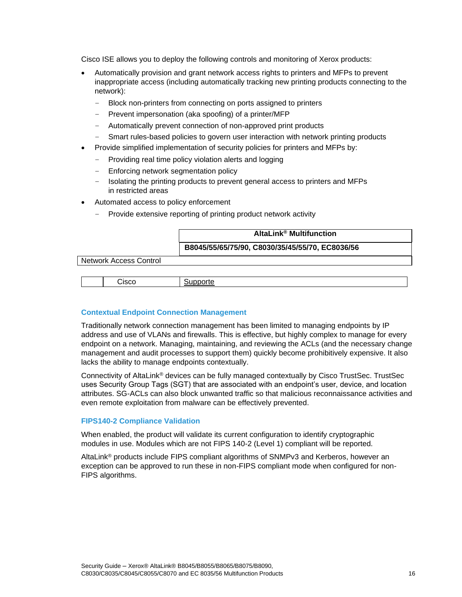Cisco ISE allows you to deploy the following controls and monitoring of Xerox products:

- Automatically provision and grant network access rights to printers and MFPs to prevent inappropriate access (including automatically tracking new printing products connecting to the network):
	- Block non-printers from connecting on ports assigned to printers
	- Prevent impersonation (aka spoofing) of a printer/MFP
	- Automatically prevent connection of non-approved print products
	- Smart rules-based policies to govern user interaction with network printing products
- Provide simplified implementation of security policies for printers and MFPs by:
	- Providing real time policy violation alerts and logging
	- Enforcing network segmentation policy
	- Isolating the printing products to prevent general access to printers and MFPs in restricted areas
- Automated access to policy enforcement
	- Provide extensive reporting of printing product network activity

| AltaLink <sup>®</sup> Multifunction             |
|-------------------------------------------------|
| B8045/55/65/75/90, C8030/35/45/55/70, EC8036/56 |

Network Access Control

Cisco

**Supporte** 

#### **Contextual Endpoint Connection Management**

Traditionally network connection management has been limited to managing endpoints by IP address and use of VLANs and firewalls. This is effective, but highly complex to manage for every endpoint on a network. Managing, maintaining, and reviewing the ACLs (and the necessary change management and audit processes to support them) quickly become prohibitively expensive. It also lacks the ability to manage endpoints contextually.

Connectivity of AltaLink® devices can be fully managed contextually by Cisco TrustSec. TrustSec uses Security Group Tags (SGT) that are associated with an endpoint's user, device, and location attributes. SG-ACLs can also block unwanted traffic so that malicious reconnaissance activities and even remote exploitation from malware can be effectively prevented.

#### **FIPS140-2 Compliance Validation**

When enabled, the product will validate its current configuration to identify cryptographic modules in use. Modules which are not FIPS 140-2 (Level 1) compliant will be reported.

AltaLink® products include FIPS compliant algorithms of SNMPv3 and Kerberos, however an exception can be approved to run these in non-FIPS compliant mode when configured for non-FIPS algorithms.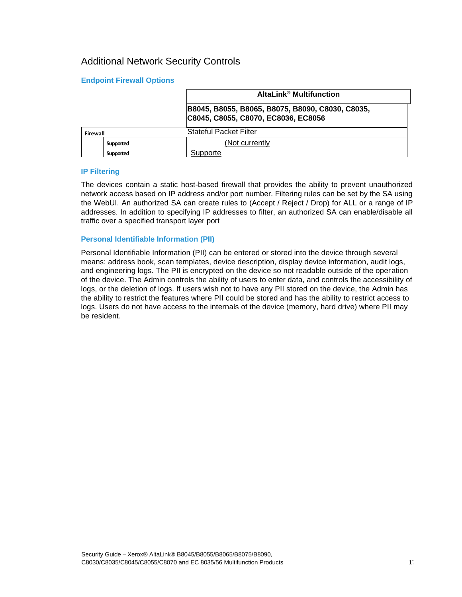# Additional Network Security Controls

#### **Endpoint Firewall Options**

|          |           | AltaLink <sup>®</sup> Multifunction                                                     |  |
|----------|-----------|-----------------------------------------------------------------------------------------|--|
|          |           | B8045, B8055, B8065, B8075, B8090, C8030, C8035,<br>C8045, C8055, C8070, EC8036, EC8056 |  |
| Firewall |           | Stateful Packet Filter                                                                  |  |
|          | Supported | (Not currently                                                                          |  |
|          | Supported | Supporte                                                                                |  |

#### **IP Filtering**

The devices contain a static host-based firewall that provides the ability to prevent unauthorized network access based on IP address and/or port number. Filtering rules can be set by the SA using the WebUI. An authorized SA can create rules to (Accept / Reject / Drop) for ALL or a range of IP addresses. In addition to specifying IP addresses to filter, an authorized SA can enable/disable all traffic over a specified transport layer port

#### **Personal Identifiable Information (PII)**

Personal Identifiable Information (PII) can be entered or stored into the device through several means: address book, scan templates, device description, display device information, audit logs, and engineering logs. The PII is encrypted on the device so not readable outside of the operation of the device. The Admin controls the ability of users to enter data, and controls the accessibility of logs, or the deletion of logs. If users wish not to have any PII stored on the device, the Admin has the ability to restrict the features where PII could be stored and has the ability to restrict access to logs. Users do not have access to the internals of the device (memory, hard drive) where PII may be resident.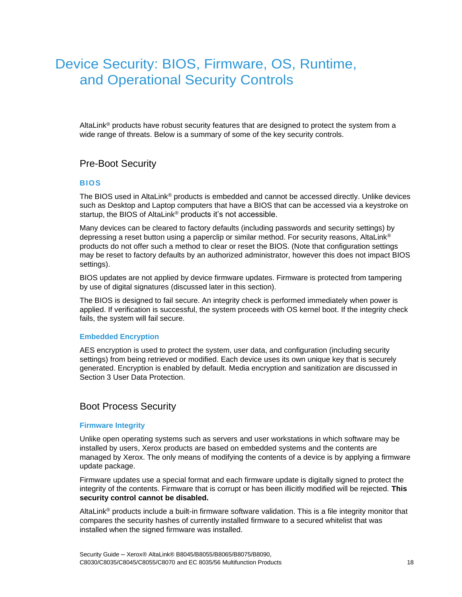# Device Security: BIOS, Firmware, OS, Runtime, and Operational Security Controls

AltaLink<sup>®</sup> products have robust security features that are designed to protect the system from a wide range of threats. Below is a summary of some of the key security controls.

### Pre-Boot Security

#### **BIOS**

The BIOS used in AltaLink® products is embedded and cannot be accessed directly. Unlike devices such as Desktop and Laptop computers that have a BIOS that can be accessed via a keystroke on startup, the BIOS of AltaLink<sup>®</sup> products it's not accessible.

Many devices can be cleared to factory defaults (including passwords and security settings) by depressing a reset button using a paperclip or similar method. For security reasons, AltaLink® products do not offer such a method to clear or reset the BIOS. (Note that configuration settings may be reset to factory defaults by an authorized administrator, however this does not impact BIOS settings).

BIOS updates are not applied by device firmware updates. Firmware is protected from tampering by use of digital signatures (discussed later in this section).

The BIOS is designed to fail secure. An integrity check is performed immediately when power is applied. If verification is successful, the system proceeds with OS kernel boot. If the integrity check fails, the system will fail secure.

#### **Embedded Encryption**

AES encryption is used to protect the system, user data, and configuration (including security settings) from being retrieved or modified. Each device uses its own unique key that is securely generated. Encryption is enabled by default. Media encryption and sanitization are discussed in Section 3 User Data Protection.

#### Boot Process Security

#### **Firmware Integrity**

Unlike open operating systems such as servers and user workstations in which software may be installed by users, Xerox products are based on embedded systems and the contents are managed by Xerox. The only means of modifying the contents of a device is by applying a firmware update package.

Firmware updates use a special format and each firmware update is digitally signed to protect the integrity of the contents. Firmware that is corrupt or has been illicitly modified will be rejected. **This security control cannot be disabled.**

AltaLink® products include a built-in firmware software validation. This is a file integrity monitor that compares the security hashes of currently installed firmware to a secured whitelist that was installed when the signed firmware was installed.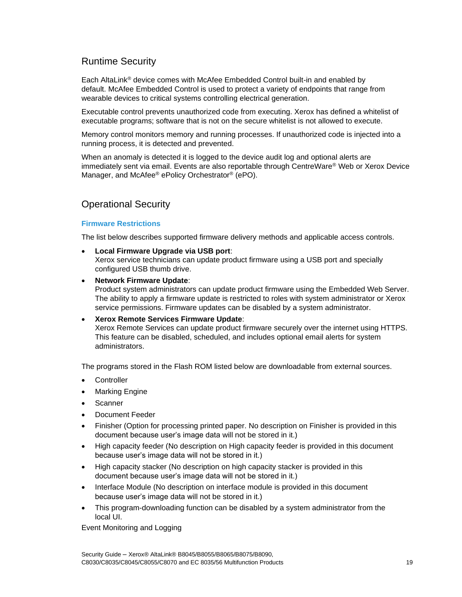# Runtime Security

Each AltaLink® device comes with McAfee Embedded Control built-in and enabled by default. McAfee Embedded Control is used to protect a variety of endpoints that range from wearable devices to critical systems controlling electrical generation.

Executable control prevents unauthorized code from executing. Xerox has defined a whitelist of executable programs; software that is not on the secure whitelist is not allowed to execute.

Memory control monitors memory and running processes. If unauthorized code is injected into a running process, it is detected and prevented.

When an anomaly is detected it is logged to the device audit log and optional alerts are immediately sent via email. Events are also reportable through CentreWare® Web or Xerox Device Manager, and McAfee® ePolicy Orchestrator® (ePO).

# Operational Security

#### **Firmware Restrictions**

The list below describes supported firmware delivery methods and applicable access controls.

• **Local Firmware Upgrade via USB port**:

Xerox service technicians can update product firmware using a USB port and specially configured USB thumb drive.

• **Network Firmware Update**:

Product system administrators can update product firmware using the Embedded Web Server. The ability to apply a firmware update is restricted to roles with system administrator or Xerox service permissions. Firmware updates can be disabled by a system administrator.

#### • **Xerox Remote Services Firmware Update**:

Xerox Remote Services can update product firmware securely over the internet using HTTPS. This feature can be disabled, scheduled, and includes optional email alerts for system administrators.

The programs stored in the Flash ROM listed below are downloadable from external sources.

- **Controller**
- **Marking Engine**
- Scanner
- Document Feeder
- Finisher (Option for processing printed paper. No description on Finisher is provided in this document because user's image data will not be stored in it.)
- High capacity feeder (No description on High capacity feeder is provided in this document because user's image data will not be stored in it.)
- High capacity stacker (No description on high capacity stacker is provided in this document because user's image data will not be stored in it.)
- Interface Module (No description on interface module is provided in this document because user's image data will not be stored in it.)
- This program-downloading function can be disabled by a system administrator from the local UI.

Event Monitoring and Logging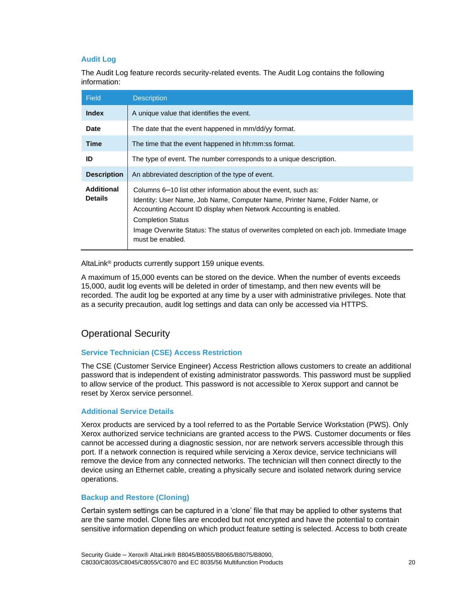#### **Audit Log**

The Audit Log feature records security-related events. The Audit Log contains the following information:

| <b>Field</b>                        | <b>Description</b>                                                                                                                                                                                                                                                                                                                                           |  |
|-------------------------------------|--------------------------------------------------------------------------------------------------------------------------------------------------------------------------------------------------------------------------------------------------------------------------------------------------------------------------------------------------------------|--|
| <b>Index</b>                        | A unique value that identifies the event.                                                                                                                                                                                                                                                                                                                    |  |
| Date                                | The date that the event happened in mm/dd/yy format.                                                                                                                                                                                                                                                                                                         |  |
| <b>Time</b>                         | The time that the event happened in hh:mm:ss format.                                                                                                                                                                                                                                                                                                         |  |
| ID                                  | The type of event. The number corresponds to a unique description.                                                                                                                                                                                                                                                                                           |  |
| <b>Description</b>                  | An abbreviated description of the type of event.                                                                                                                                                                                                                                                                                                             |  |
| <b>Additional</b><br><b>Details</b> | Columns 6–10 list other information about the event, such as:<br>Identity: User Name, Job Name, Computer Name, Printer Name, Folder Name, or<br>Accounting Account ID display when Network Accounting is enabled.<br><b>Completion Status</b><br>Image Overwrite Status: The status of overwrites completed on each job. Immediate Image<br>must be enabled. |  |

AltaLink® products currently support 159 unique events.

A maximum of 15,000 events can be stored on the device. When the number of events exceeds 15,000, audit log events will be deleted in order of timestamp, and then new events will be recorded. The audit log be exported at any time by a user with administrative privileges. Note that as a security precaution, audit log settings and data can only be accessed via HTTPS.

## Operational Security

#### **Service Technician (CSE) Access Restriction**

The CSE (Customer Service Engineer) Access Restriction allows customers to create an additional password that is independent of existing administrator passwords. This password must be supplied to allow service of the product. This password is not accessible to Xerox support and cannot be reset by Xerox service personnel.

#### **Additional Service Details**

Xerox products are serviced by a tool referred to as the Portable Service Workstation (PWS). Only Xerox authorized service technicians are granted access to the PWS. Customer documents or files cannot be accessed during a diagnostic session, nor are network servers accessible through this port. If a network connection is required while servicing a Xerox device, service technicians will remove the device from any connected networks. The technician will then connect directly to the device using an Ethernet cable, creating a physically secure and isolated network during service operations.

#### **Backup and Restore (Cloning)**

Certain system settings can be captured in a 'clone' file that may be applied to other systems that are the same model. Clone files are encoded but not encrypted and have the potential to contain sensitive information depending on which product feature setting is selected. Access to both create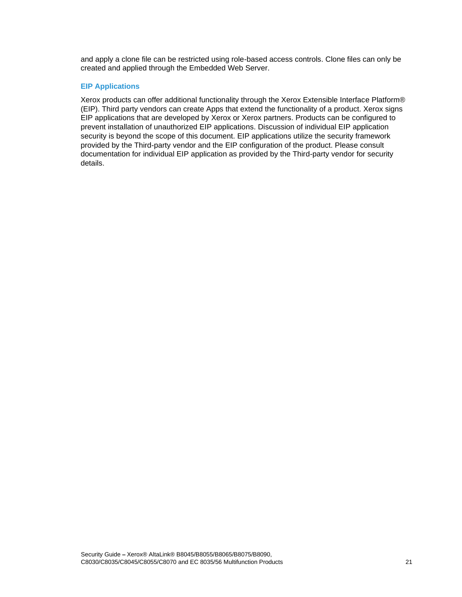and apply a clone file can be restricted using role-based access controls. Clone files can only be created and applied through the Embedded Web Server.

#### **EIP Applications**

Xerox products can offer additional functionality through the Xerox Extensible Interface Platform® (EIP). Third party vendors can create Apps that extend the functionality of a product. Xerox signs EIP applications that are developed by Xerox or Xerox partners. Products can be configured to prevent installation of unauthorized EIP applications. Discussion of individual EIP application security is beyond the scope of this document. EIP applications utilize the security framework provided by the Third-party vendor and the EIP configuration of the product. Please consult documentation for individual EIP application as provided by the Third-party vendor for security details.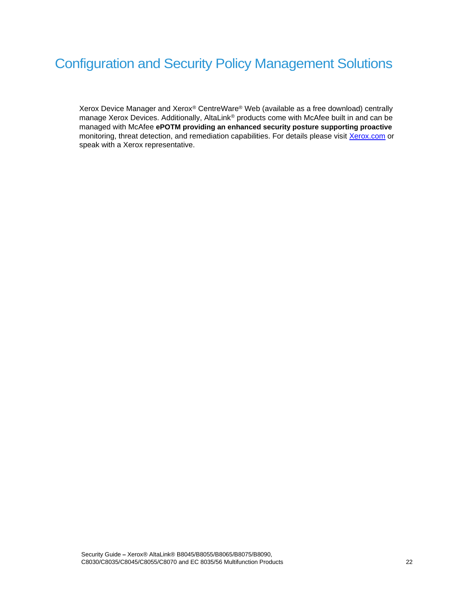# Configuration and Security Policy Management Solutions

Xerox Device Manager and Xerox® CentreWare® Web (available as a free download) centrally manage Xerox Devices. Additionally, AltaLink® products come with McAfee built in and can be managed with McAfee **ePOTM providing an enhanced security posture supporting proactive**  monitoring, threat detection, and remediation capabilities. For details please visit [Xerox.com](http://xerox.com/) or speak with a Xerox representative.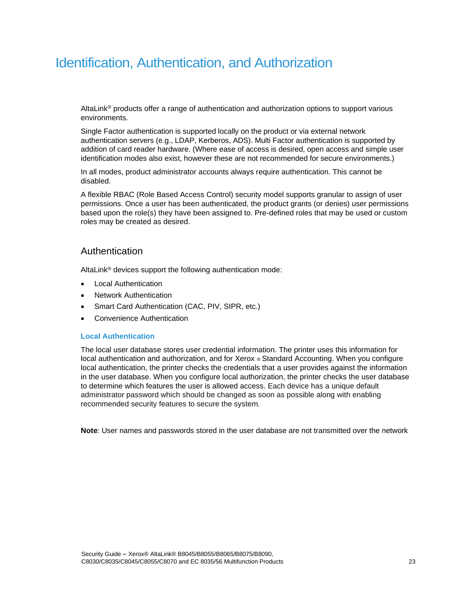# Identification, Authentication, and Authorization

AltaLink® products offer a range of authentication and authorization options to support various environments.

Single Factor authentication is supported locally on the product or via external network authentication servers (e.g., LDAP, Kerberos, ADS). Multi Factor authentication is supported by addition of card reader hardware. (Where ease of access is desired, open access and simple user identification modes also exist, however these are not recommended for secure environments.)

In all modes, product administrator accounts always require authentication. This cannot be disabled.

A flexible RBAC (Role Based Access Control) security model supports granular to assign of user permissions. Once a user has been authenticated, the product grants (or denies) user permissions based upon the role(s) they have been assigned to. Pre-defined roles that may be used or custom roles may be created as desired.

### Authentication

AltaLink® devices support the following authentication mode:

- Local Authentication
- Network Authentication
- Smart Card Authentication (CAC, PIV, SIPR, etc.)
- Convenience Authentication

#### **Local Authentication**

The local user database stores user credential information. The printer uses this information for local authentication and authorization, and for Xerox ® Standard Accounting. When you configure local authentication, the printer checks the credentials that a user provides against the information in the user database. When you configure local authorization, the printer checks the user database to determine which features the user is allowed access. Each device has a unique default administrator password which should be changed as soon as possible along with enabling recommended security features to secure the system.

**Note**: User names and passwords stored in the user database are not transmitted over the network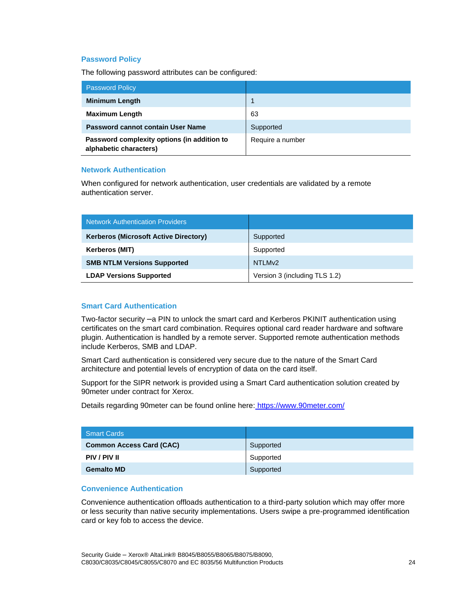#### **Password Policy**

The following password attributes can be configured:

| <b>Password Policy</b>                                                |                  |
|-----------------------------------------------------------------------|------------------|
| <b>Minimum Length</b>                                                 |                  |
| <b>Maximum Length</b>                                                 | 63               |
| Password cannot contain User Name                                     | Supported        |
| Password complexity options (in addition to<br>alphabetic characters) | Require a number |

#### **Network Authentication**

When configured for network authentication, user credentials are validated by a remote authentication server.

| Network Authentication Providers             |                               |
|----------------------------------------------|-------------------------------|
| <b>Kerberos (Microsoft Active Directory)</b> | Supported                     |
| <b>Kerberos (MIT)</b>                        | Supported                     |
| <b>SMB NTLM Versions Supported</b>           | NTLM <sub>v2</sub>            |
| <b>LDAP Versions Supported</b>               | Version 3 (including TLS 1.2) |

#### **Smart Card Authentication**

Two-factor security –a PIN to unlock the smart card and Kerberos PKINIT authentication using certificates on the smart card combination. Requires optional card reader hardware and software plugin. Authentication is handled by a remote server. Supported remote authentication methods include Kerberos, SMB and LDAP.

Smart Card authentication is considered very secure due to the nature of the Smart Card architecture and potential levels of encryption of data on the card itself.

Support for the SIPR network is provided using a Smart Card authentication solution created by 90meter under contract for Xerox.

Details regarding 90meter can be found online here: <https://www.90meter.com/>

| <b>Smart Cards</b>              |           |
|---------------------------------|-----------|
| <b>Common Access Card (CAC)</b> | Supported |
| PIV / PIV II                    | Supported |
| <b>Gemalto MD</b>               | Supported |

#### **Convenience Authentication**

Convenience authentication offloads authentication to a third-party solution which may offer more or less security than native security implementations. Users swipe a pre-programmed identification card or key fob to access the device.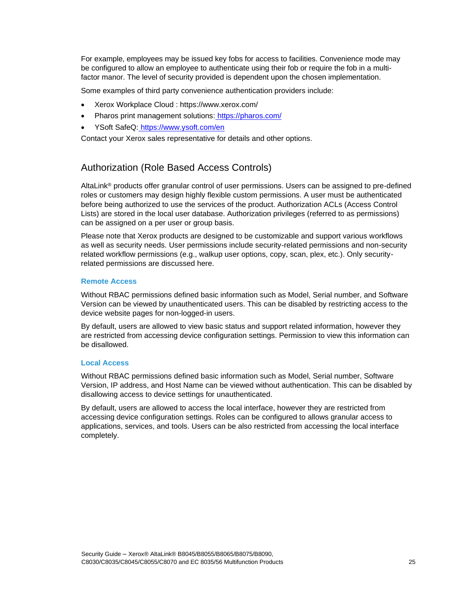For example, employees may be issued key fobs for access to facilities. Convenience mode may be configured to allow an employee to authenticate using their fob or require the fob in a multifactor manor. The level of security provided is dependent upon the chosen implementation.

Some examples of third party convenience authentication providers include:

- Xerox Workplace Cloud : https://www.xerox.com/
- Pharos print management solutions: <https://pharos.com/>
- YSoft SafeQ: <https://www.ysoft.com/en>

Contact your Xerox sales representative for details and other options.

# Authorization (Role Based Access Controls)

AltaLink® products offer granular control of user permissions. Users can be assigned to pre-defined roles or customers may design highly flexible custom permissions. A user must be authenticated before being authorized to use the services of the product. Authorization ACLs (Access Control Lists) are stored in the local user database. Authorization privileges (referred to as permissions) can be assigned on a per user or group basis.

Please note that Xerox products are designed to be customizable and support various workflows as well as security needs. User permissions include security-related permissions and non-security related workflow permissions (e.g., walkup user options, copy, scan, plex, etc.). Only securityrelated permissions are discussed here.

#### **Remote Access**

Without RBAC permissions defined basic information such as Model, Serial number, and Software Version can be viewed by unauthenticated users. This can be disabled by restricting access to the device website pages for non-logged-in users.

By default, users are allowed to view basic status and support related information, however they are restricted from accessing device configuration settings. Permission to view this information can be disallowed.

#### **Local Access**

Without RBAC permissions defined basic information such as Model, Serial number, Software Version, IP address, and Host Name can be viewed without authentication. This can be disabled by disallowing access to device settings for unauthenticated.

By default, users are allowed to access the local interface, however they are restricted from accessing device configuration settings. Roles can be configured to allows granular access to applications, services, and tools. Users can be also restricted from accessing the local interface completely.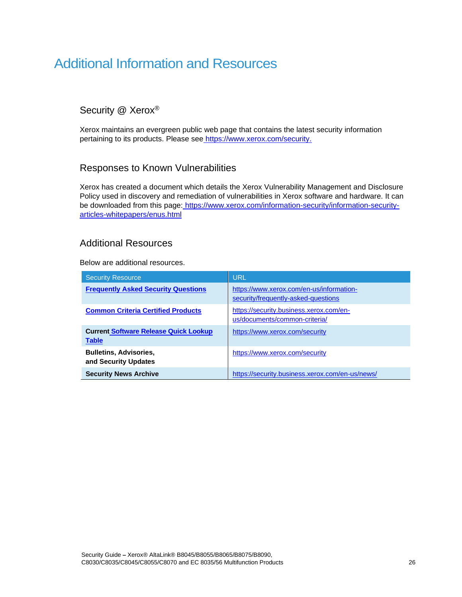# Additional Information and Resources

# Security @ Xerox®

Xerox maintains an evergreen public web page that contains the latest security information pertaining to its products. Please see [https://www.xerox.com/security.](https://www.xerox.com/security)

# Responses to Known Vulnerabilities

Xerox has created a document which details the Xerox Vulnerability Management and Disclosure Policy used in discovery and remediation of vulnerabilities in Xerox software and hardware. It can be downloaded from this page: [https://www.xerox.com/information-security/information-security](https://www.xerox.com/information-security/information-security-articles-whitepapers/enus.html)[articles-whitepapers/enus.html](https://www.xerox.com/information-security/information-security-articles-whitepapers/enus.html)

# Additional Resources

Below are additional resources.

| <b>Security Resource</b>                                     | <b>URL</b>                                                                      |
|--------------------------------------------------------------|---------------------------------------------------------------------------------|
| <b>Frequently Asked Security Questions</b>                   | https://www.xerox.com/en-us/information-<br>security/frequently-asked-questions |
| <b>Common Criteria Certified Products</b>                    | https://security.business.xerox.com/en-<br>us/documents/common-criteria/        |
| <b>Current Software Release Quick Lookup</b><br><b>Table</b> | https://www.xerox.com/security                                                  |
| <b>Bulletins, Advisories,</b><br>and Security Updates        | https://www.xerox.com/security                                                  |
| <b>Security News Archive</b>                                 | https://security.business.xerox.com/en-us/news/                                 |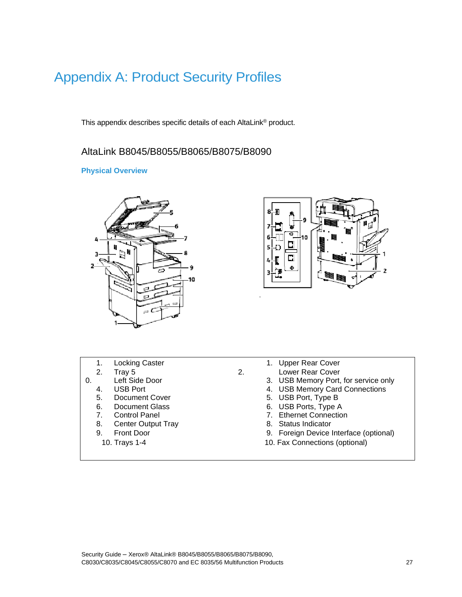# Appendix A: Product Security Profiles

This appendix describes specific details of each AltaLink® product.

# AltaLink B8045/B8055/B8065/B8075/B8090

#### **Physical Overview**





- 
- 
- 
- -
	-
	-
- 8. Center Output Tray
- -
- 1. Locking Caster 1. Upper Rear Cover
- 2. Tray 5 2. Lower Rear Cover
- 0. Left Side Door 6. Left Side Door 6. Contract 1. Contract 1. USB Memory Port, for service only 4. USB Memory Card Connections
	- 4. USB Port 4. USB Memory Card Connections<br>
	5. Document Cover 5. USB Port, Type B
	- 5. Document Cover 6. USB Port, Type B
	- 6. Document Glass 6. USB Ports, Type A
	- 7. Control Panel 7. Ethernet Connection<br>
	8. Center Output Tray 1990 18. Status Indicator
		-
	- 9. Front Door 9. Foreign Device Interface (optional)
		- 10. Trays 1-4 10. Fax Connections (optional)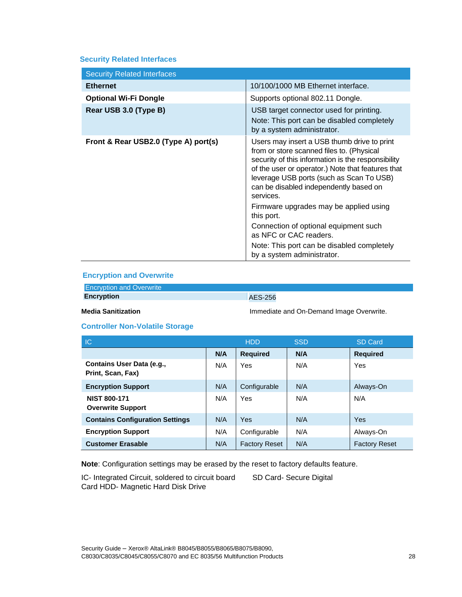#### **Security Related Interfaces**

| <b>Security Related Interfaces</b>   |                                                                                                                                                                                                                                                                                                                                                                                                                                                                                                               |
|--------------------------------------|---------------------------------------------------------------------------------------------------------------------------------------------------------------------------------------------------------------------------------------------------------------------------------------------------------------------------------------------------------------------------------------------------------------------------------------------------------------------------------------------------------------|
| <b>Ethernet</b>                      | 10/100/1000 MB Ethernet interface.                                                                                                                                                                                                                                                                                                                                                                                                                                                                            |
| <b>Optional Wi-Fi Dongle</b>         | Supports optional 802.11 Dongle.                                                                                                                                                                                                                                                                                                                                                                                                                                                                              |
| Rear USB 3.0 (Type B)                | USB target connector used for printing.<br>Note: This port can be disabled completely<br>by a system administrator.                                                                                                                                                                                                                                                                                                                                                                                           |
| Front & Rear USB2.0 (Type A) port(s) | Users may insert a USB thumb drive to print<br>from or store scanned files to. (Physical<br>security of this information is the responsibility<br>of the user or operator.) Note that features that<br>leverage USB ports (such as Scan To USB)<br>can be disabled independently based on<br>services.<br>Firmware upgrades may be applied using<br>this port.<br>Connection of optional equipment such<br>as NFC or CAC readers.<br>Note: This port can be disabled completely<br>by a system administrator. |

#### **Encryption and Overwrite**

| <b>Encryption and Overwrite</b> |                |
|---------------------------------|----------------|
| <b>Encryption</b>               | <b>AES-256</b> |

**Media Sanitization Immediate and On-Demand Image Overwrite.** 

#### **Controller Non-Volatile Storage**

| IC.                                             |     | <b>HDD</b>           | <b>SSD</b> | <b>SD Card</b>       |
|-------------------------------------------------|-----|----------------------|------------|----------------------|
|                                                 | N/A | <b>Required</b>      | N/A        | <b>Required</b>      |
| Contains User Data (e.g.,<br>Print, Scan, Fax)  | N/A | Yes                  | N/A        | Yes                  |
| <b>Encryption Support</b>                       | N/A | Configurable         | N/A        | Always-On            |
| <b>NIST 800-171</b><br><b>Overwrite Support</b> | N/A | Yes                  | N/A        | N/A                  |
| <b>Contains Configuration Settings</b>          | N/A | Yes                  | N/A        | Yes                  |
| <b>Encryption Support</b>                       | N/A | Configurable         | N/A        | Always-On            |
| <b>Customer Erasable</b>                        | N/A | <b>Factory Reset</b> | N/A        | <b>Factory Reset</b> |

**Note**: Configuration settings may be erased by the reset to factory defaults feature.

IC- Integrated Circuit, soldered to circuit board SD Card- Secure Digital Card HDD- Magnetic Hard Disk Drive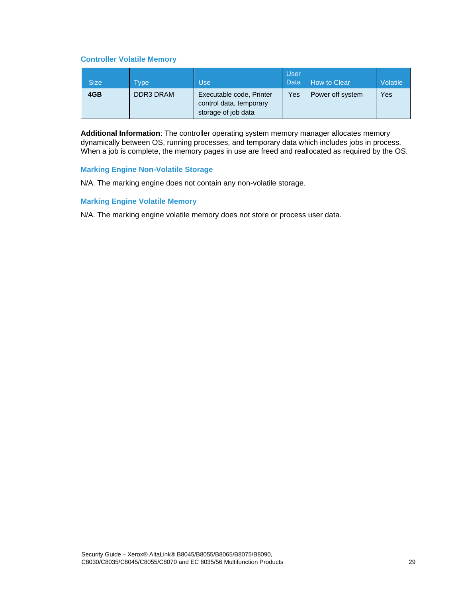#### **Controller Volatile Memory**

| <b>Size</b> | <b>Type</b>      | Use                                                                        | <b>User</b><br>Data | How to Clear     | <b>Volatile</b> |
|-------------|------------------|----------------------------------------------------------------------------|---------------------|------------------|-----------------|
| 4GB         | <b>DDR3 DRAM</b> | Executable code, Printer<br>control data, temporary<br>storage of job data | Yes                 | Power off system | Yes             |

**Additional Information**: The controller operating system memory manager allocates memory dynamically between OS, running processes, and temporary data which includes jobs in process. When a job is complete, the memory pages in use are freed and reallocated as required by the OS.

#### **Marking Engine Non-Volatile Storage**

N/A. The marking engine does not contain any non-volatile storage.

#### **Marking Engine Volatile Memory**

N/A. The marking engine volatile memory does not store or process user data.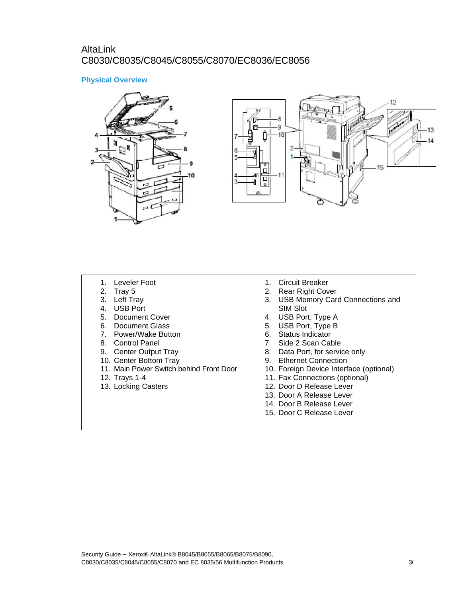# AltaLink C8030/C8035/C8045/C8055/C8070/EC8036/EC8056

#### **Physical Overview**





- 1. Leveler Foot
- 2. Tray 5
- 3. Left Tray
- 4. USB Port
- 5. Document Cover
- 6. Document Glass
- 7. Power/Wake Button
- 8. Control Panel
- 9. Center Output Tray
- 10. Center Bottom Tray
- 11. Main Power Switch behind Front Door
- 12. Trays 1-4
- 13. Locking Casters
- 1. Circuit Breaker
- 2. Rear Right Cover
- 3. USB Memory Card Connections and SIM Slot
- 4. USB Port, Type A
- 5. USB Port, Type B
- 6. Status Indicator
- 7. Side 2 Scan Cable
- 8. Data Port, for service only
- 9. Ethernet Connection
- 10. Foreign Device Interface (optional)
- 11. Fax Connections (optional)
- 12. Door D Release Lever
- 13. Door A Release Lever
- 14. Door B Release Lever
- 15. Door C Release Lever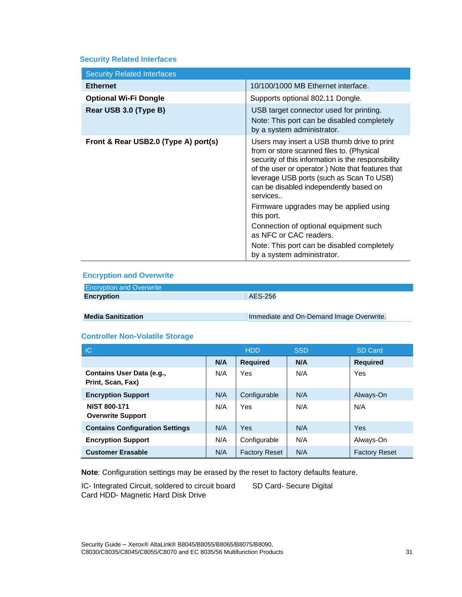#### **Security Related Interfaces**

| <b>Security Related Interfaces</b>   |                                                                                                                                                                                                                                                                                                                                                                                                                                                                                                              |
|--------------------------------------|--------------------------------------------------------------------------------------------------------------------------------------------------------------------------------------------------------------------------------------------------------------------------------------------------------------------------------------------------------------------------------------------------------------------------------------------------------------------------------------------------------------|
| <b>Ethernet</b>                      | 10/100/1000 MB Ethernet interface.                                                                                                                                                                                                                                                                                                                                                                                                                                                                           |
| <b>Optional Wi-Fi Dongle</b>         | Supports optional 802.11 Dongle.                                                                                                                                                                                                                                                                                                                                                                                                                                                                             |
| Rear USB 3.0 (Type B)                | USB target connector used for printing.<br>Note: This port can be disabled completely<br>by a system administrator.                                                                                                                                                                                                                                                                                                                                                                                          |
| Front & Rear USB2.0 (Type A) port(s) | Users may insert a USB thumb drive to print<br>from or store scanned files to. (Physical<br>security of this information is the responsibility<br>of the user or operator.) Note that features that<br>leverage USB ports (such as Scan To USB)<br>can be disabled independently based on<br>services<br>Firmware upgrades may be applied using<br>this port.<br>Connection of optional equipment such<br>as NFC or CAC readers.<br>Note: This port can be disabled completely<br>by a system administrator. |

#### **Encryption and Overwrite**

| <b>Encryption and Overwrite</b> |                                          |
|---------------------------------|------------------------------------------|
| <b>Encryption</b>               | <b>AES-256</b>                           |
|                                 |                                          |
|                                 |                                          |
| <b>Media Sanitization</b>       | Immediate and On-Demand Image Overwrite. |

#### **Controller Non-Volatile Storage**

| IC                                              |     | <b>HDD</b>           | <b>SSD</b> | <b>SD Card</b>       |
|-------------------------------------------------|-----|----------------------|------------|----------------------|
|                                                 | N/A | <b>Required</b>      | N/A        | <b>Required</b>      |
| Contains User Data (e.g.,<br>Print, Scan, Fax)  | N/A | Yes                  | N/A        | Yes                  |
| <b>Encryption Support</b>                       | N/A | Configurable         | N/A        | Always-On            |
| <b>NIST 800-171</b><br><b>Overwrite Support</b> | N/A | Yes                  | N/A        | N/A                  |
| <b>Contains Configuration Settings</b>          | N/A | Yes                  | N/A        | Yes                  |
| <b>Encryption Support</b>                       | N/A | Configurable         | N/A        | Always-On            |
| <b>Customer Erasable</b>                        | N/A | <b>Factory Reset</b> | N/A        | <b>Factory Reset</b> |

**Note**: Configuration settings may be erased by the reset to factory defaults feature.

IC- Integrated Circuit, soldered to circuit board SD Card- Secure Digital Card HDD- Magnetic Hard Disk Drive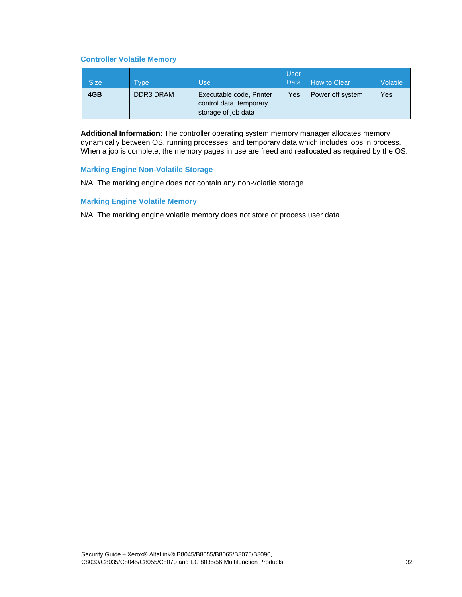#### **Controller Volatile Memory**

| <b>Size</b> | <b>Type</b>      | Use                                                                        | <b>User</b><br>Data | How to Clear     | <b>Volatile</b> |
|-------------|------------------|----------------------------------------------------------------------------|---------------------|------------------|-----------------|
| 4GB         | <b>DDR3 DRAM</b> | Executable code, Printer<br>control data, temporary<br>storage of job data | Yes                 | Power off system | Yes             |

**Additional Information**: The controller operating system memory manager allocates memory dynamically between OS, running processes, and temporary data which includes jobs in process. When a job is complete, the memory pages in use are freed and reallocated as required by the OS.

#### **Marking Engine Non-Volatile Storage**

N/A. The marking engine does not contain any non-volatile storage.

#### **Marking Engine Volatile Memory**

N/A. The marking engine volatile memory does not store or process user data.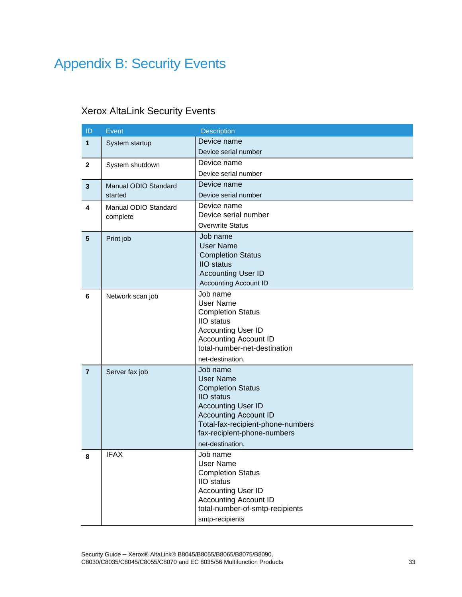# Appendix B: Security Events

# Xerox AltaLink Security Events

| ID             | Event                | Description                                  |
|----------------|----------------------|----------------------------------------------|
| 1              | System startup       | Device name                                  |
|                |                      | Device serial number                         |
| $\overline{2}$ | System shutdown      | Device name                                  |
|                |                      | Device serial number                         |
| $\mathbf{3}$   | Manual ODIO Standard | Device name                                  |
|                | started              | Device serial number                         |
| 4              | Manual ODIO Standard | Device name                                  |
|                | complete             | Device serial number                         |
|                |                      | <b>Overwrite Status</b>                      |
| $5\phantom{1}$ | Print job            | Job name<br><b>User Name</b>                 |
|                |                      | <b>Completion Status</b>                     |
|                |                      | <b>IIO</b> status                            |
|                |                      | <b>Accounting User ID</b>                    |
|                |                      | <b>Accounting Account ID</b>                 |
| 6              | Network scan job     | Job name                                     |
|                |                      | <b>User Name</b><br><b>Completion Status</b> |
|                |                      | <b>IIO</b> status                            |
|                |                      | <b>Accounting User ID</b>                    |
|                |                      | <b>Accounting Account ID</b>                 |
|                |                      | total-number-net-destination                 |
|                |                      | net-destination.                             |
| $\overline{7}$ | Server fax job       | Job name                                     |
|                |                      | <b>User Name</b><br><b>Completion Status</b> |
|                |                      | <b>IIO</b> status                            |
|                |                      | <b>Accounting User ID</b>                    |
|                |                      | <b>Accounting Account ID</b>                 |
|                |                      | Total-fax-recipient-phone-numbers            |
|                |                      | fax-recipient-phone-numbers                  |
|                |                      | net-destination.                             |
| 8              | <b>IFAX</b>          | Job name<br>User Name                        |
|                |                      | <b>Completion Status</b>                     |
|                |                      | <b>IIO</b> status                            |
|                |                      | <b>Accounting User ID</b>                    |
|                |                      | <b>Accounting Account ID</b>                 |
|                |                      | total-number-of-smtp-recipients              |
|                |                      | smtp-recipients                              |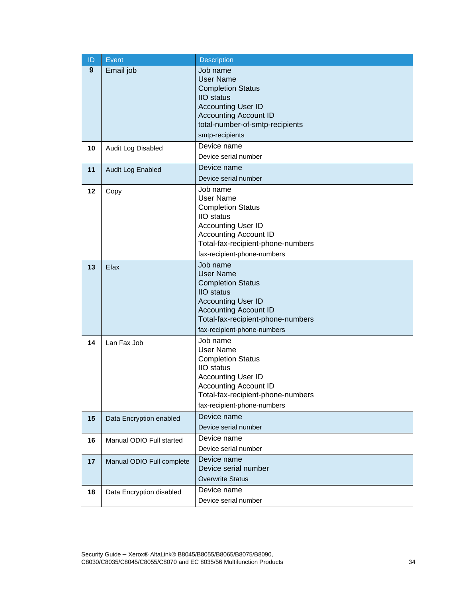| ID | Event                     | <b>Description</b>                                                                                                                                                                                             |
|----|---------------------------|----------------------------------------------------------------------------------------------------------------------------------------------------------------------------------------------------------------|
| 9  | Email job                 | Job name<br><b>User Name</b><br><b>Completion Status</b><br><b>IIO</b> status<br><b>Accounting User ID</b><br><b>Accounting Account ID</b><br>total-number-of-smtp-recipients<br>smtp-recipients               |
| 10 | Audit Log Disabled        | Device name<br>Device serial number                                                                                                                                                                            |
| 11 | Audit Log Enabled         | Device name<br>Device serial number                                                                                                                                                                            |
| 12 | Copy                      | Job name<br><b>User Name</b><br><b>Completion Status</b><br><b>IIO</b> status<br><b>Accounting User ID</b><br><b>Accounting Account ID</b><br>Total-fax-recipient-phone-numbers<br>fax-recipient-phone-numbers |
| 13 | Efax                      | Job name<br><b>User Name</b><br><b>Completion Status</b><br><b>IIO</b> status<br><b>Accounting User ID</b><br><b>Accounting Account ID</b><br>Total-fax-recipient-phone-numbers<br>fax-recipient-phone-numbers |
| 14 | Lan Fax Job               | Job name<br><b>User Name</b><br><b>Completion Status</b><br><b>IIO</b> status<br><b>Accounting User ID</b><br><b>Accounting Account ID</b><br>Total-fax-recipient-phone-numbers<br>fax-recipient-phone-numbers |
| 15 | Data Encryption enabled   | Device name<br>Device serial number                                                                                                                                                                            |
| 16 | Manual ODIO Full started  | Device name<br>Device serial number                                                                                                                                                                            |
| 17 | Manual ODIO Full complete | Device name<br>Device serial number<br><b>Overwrite Status</b>                                                                                                                                                 |
| 18 | Data Encryption disabled  | Device name<br>Device serial number                                                                                                                                                                            |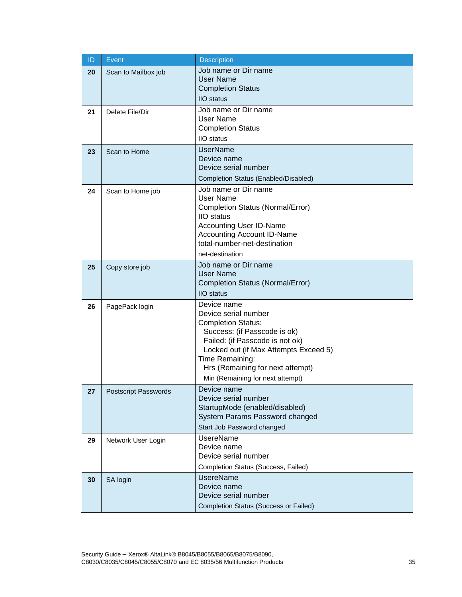| ID | Event                       | <b>Description</b>                                                                                                                                                                                                                                                      |
|----|-----------------------------|-------------------------------------------------------------------------------------------------------------------------------------------------------------------------------------------------------------------------------------------------------------------------|
| 20 | Scan to Mailbox job         | Job name or Dir name<br><b>User Name</b><br><b>Completion Status</b><br><b>IIO</b> status                                                                                                                                                                               |
| 21 | Delete File/Dir             | Job name or Dir name<br>User Name<br><b>Completion Status</b><br><b>IIO</b> status                                                                                                                                                                                      |
| 23 | Scan to Home                | <b>UserName</b><br>Device name<br>Device serial number<br>Completion Status (Enabled/Disabled)                                                                                                                                                                          |
| 24 | Scan to Home job            | Job name or Dir name<br>User Name<br>Completion Status (Normal/Error)<br><b>IIO</b> status<br><b>Accounting User ID-Name</b><br><b>Accounting Account ID-Name</b><br>total-number-net-destination<br>net-destination                                                    |
| 25 | Copy store job              | Job name or Dir name<br><b>User Name</b><br>Completion Status (Normal/Error)<br><b>IIO</b> status                                                                                                                                                                       |
| 26 | PagePack login              | Device name<br>Device serial number<br><b>Completion Status:</b><br>Success: (if Passcode is ok)<br>Failed: (if Passcode is not ok)<br>Locked out (if Max Attempts Exceed 5)<br>Time Remaining:<br>Hrs (Remaining for next attempt)<br>Min (Remaining for next attempt) |
| 27 | <b>Postscript Passwords</b> | Device name<br>Device serial number<br>StartupMode (enabled/disabled)<br>System Params Password changed<br>Start Job Password changed                                                                                                                                   |
| 29 | Network User Login          | <b>UsereName</b><br>Device name<br>Device serial number<br>Completion Status (Success, Failed)                                                                                                                                                                          |
| 30 | SA login                    | <b>UsereName</b><br>Device name<br>Device serial number<br><b>Completion Status (Success or Failed)</b>                                                                                                                                                                 |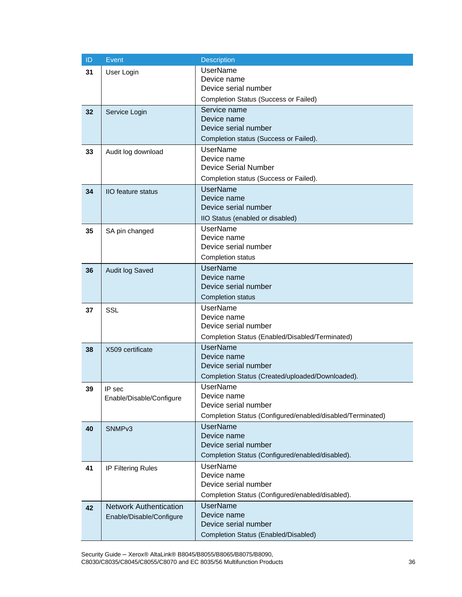| ID | Event                         | <b>Description</b>                                         |
|----|-------------------------------|------------------------------------------------------------|
| 31 | User Login                    | <b>UserName</b>                                            |
|    |                               | Device name                                                |
|    |                               | Device serial number                                       |
|    |                               | <b>Completion Status (Success or Failed)</b>               |
| 32 | Service Login                 | Service name<br>Device name                                |
|    |                               | Device serial number                                       |
|    |                               | Completion status (Success or Failed).                     |
|    |                               | <b>UserName</b>                                            |
| 33 | Audit log download            | Device name                                                |
|    |                               | <b>Device Serial Number</b>                                |
|    |                               | Completion status (Success or Failed).                     |
| 34 | <b>IIO</b> feature status     | <b>UserName</b>                                            |
|    |                               | Device name                                                |
|    |                               | Device serial number                                       |
|    |                               | IIO Status (enabled or disabled)                           |
| 35 | SA pin changed                | <b>UserName</b>                                            |
|    |                               | Device name                                                |
|    |                               | Device serial number                                       |
|    |                               | Completion status                                          |
| 36 | Audit log Saved               | <b>UserName</b>                                            |
|    |                               | Device name<br>Device serial number                        |
|    |                               | <b>Completion status</b>                                   |
|    |                               | <b>UserName</b>                                            |
| 37 | <b>SSL</b>                    | Device name                                                |
|    |                               | Device serial number                                       |
|    |                               | Completion Status (Enabled/Disabled/Terminated)            |
| 38 | X509 certificate              | <b>UserName</b>                                            |
|    |                               | Device name                                                |
|    |                               | Device serial number                                       |
|    |                               | Completion Status (Created/uploaded/Downloaded).           |
| 39 | IP sec                        | <b>UserName</b>                                            |
|    | Enable/Disable/Configure      | Device name<br>Device serial number                        |
|    |                               | Completion Status (Configured/enabled/disabled/Terminated) |
|    |                               | <b>UserName</b>                                            |
| 40 | SNMP <sub>v3</sub>            | Device name                                                |
|    |                               | Device serial number                                       |
|    |                               | Completion Status (Configured/enabled/disabled).           |
| 41 | IP Filtering Rules            | <b>UserName</b>                                            |
|    |                               | Device name                                                |
|    |                               | Device serial number                                       |
|    |                               | Completion Status (Configured/enabled/disabled).           |
| 42 | <b>Network Authentication</b> | <b>UserName</b>                                            |
|    | Enable/Disable/Configure      | Device name<br>Device serial number                        |
|    |                               |                                                            |
|    |                               | Completion Status (Enabled/Disabled)                       |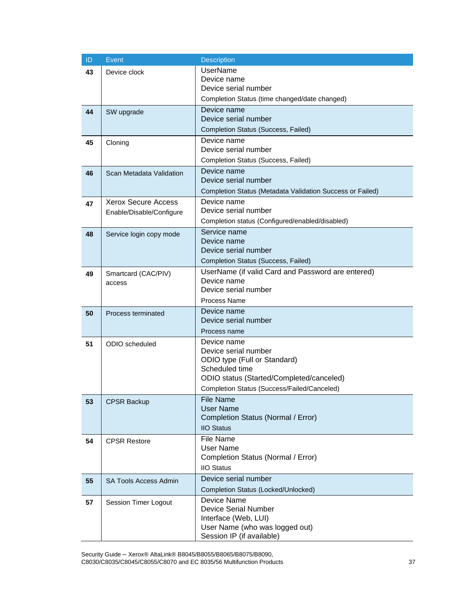| ID | Event                         | <b>Description</b>                                        |
|----|-------------------------------|-----------------------------------------------------------|
| 43 | Device clock                  | <b>UserName</b>                                           |
|    |                               | Device name                                               |
|    |                               | Device serial number                                      |
|    |                               | Completion Status (time changed/date changed)             |
| 44 | SW upgrade                    | Device name                                               |
|    |                               | Device serial number                                      |
|    |                               | Completion Status (Success, Failed)                       |
| 45 | Cloning                       | Device name                                               |
|    |                               | Device serial number                                      |
|    |                               | Completion Status (Success, Failed)                       |
| 46 | Scan Metadata Validation      | Device name                                               |
|    |                               | Device serial number                                      |
|    |                               | Completion Status (Metadata Validation Success or Failed) |
| 47 | <b>Xerox Secure Access</b>    | Device name<br>Device serial number                       |
|    | Enable/Disable/Configure      |                                                           |
|    |                               | Completion status (Configured/enabled/disabled)           |
| 48 | Service login copy mode       | Service name<br>Device name                               |
|    |                               | Device serial number                                      |
|    |                               | Completion Status (Success, Failed)                       |
|    |                               | UserName (if valid Card and Password are entered)         |
| 49 | Smartcard (CAC/PIV)<br>access | Device name                                               |
|    |                               | Device serial number                                      |
|    |                               | <b>Process Name</b>                                       |
| 50 | Process terminated            | Device name                                               |
|    |                               | Device serial number                                      |
|    |                               | Process name                                              |
| 51 | ODIO scheduled                | Device name                                               |
|    |                               | Device serial number                                      |
|    |                               | ODIO type (Full or Standard)                              |
|    |                               | Scheduled time                                            |
|    |                               | ODIO status (Started/Completed/canceled)                  |
|    |                               | Completion Status (Success/Failed/Canceled)               |
| 53 | <b>CPSR Backup</b>            | <b>File Name</b><br><b>User Name</b>                      |
|    |                               | Completion Status (Normal / Error)                        |
|    |                               | <b>IIO Status</b>                                         |
|    |                               | <b>File Name</b>                                          |
| 54 | <b>CPSR Restore</b>           | <b>User Name</b>                                          |
|    |                               | Completion Status (Normal / Error)                        |
|    |                               | <b>IIO Status</b>                                         |
| 55 | SA Tools Access Admin         | Device serial number                                      |
|    |                               | Completion Status (Locked/Unlocked)                       |
| 57 | Session Timer Logout          | Device Name                                               |
|    |                               | <b>Device Serial Number</b>                               |
|    |                               | Interface (Web, LUI)                                      |
|    |                               | User Name (who was logged out)                            |
|    |                               | Session IP (if available)                                 |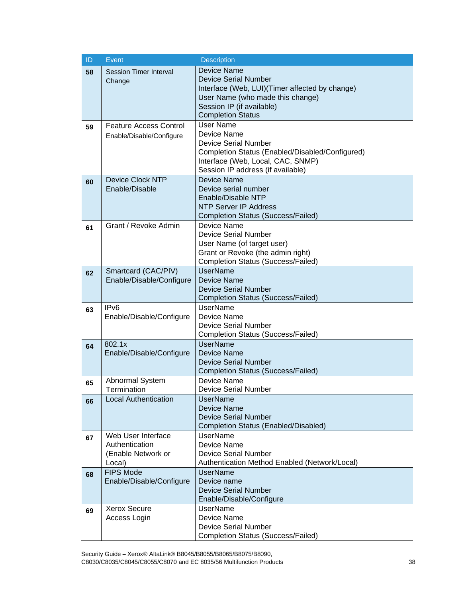| ID | Event                         | <b>Description</b>                                                       |
|----|-------------------------------|--------------------------------------------------------------------------|
| 58 | <b>Session Timer Interval</b> | <b>Device Name</b>                                                       |
|    | Change                        | <b>Device Serial Number</b>                                              |
|    |                               | Interface (Web, LUI)(Timer affected by change)                           |
|    |                               | User Name (who made this change)                                         |
|    |                               | Session IP (if available)                                                |
|    |                               | <b>Completion Status</b>                                                 |
| 59 | <b>Feature Access Control</b> | <b>User Name</b>                                                         |
|    | Enable/Disable/Configure      | Device Name                                                              |
|    |                               | <b>Device Serial Number</b>                                              |
|    |                               | Completion Status (Enabled/Disabled/Configured)                          |
|    |                               | Interface (Web, Local, CAC, SNMP)<br>Session IP address (if available)   |
|    | <b>Device Clock NTP</b>       | Device Name                                                              |
| 60 | Enable/Disable                | Device serial number                                                     |
|    |                               | Enable/Disable NTP                                                       |
|    |                               | <b>NTP Server IP Address</b>                                             |
|    |                               | <b>Completion Status (Success/Failed)</b>                                |
| 61 | Grant / Revoke Admin          | Device Name                                                              |
|    |                               | <b>Device Serial Number</b>                                              |
|    |                               | User Name (of target user)                                               |
|    |                               | Grant or Revoke (the admin right)                                        |
|    |                               | <b>Completion Status (Success/Failed)</b>                                |
| 62 | Smartcard (CAC/PIV)           | <b>UserName</b>                                                          |
|    | Enable/Disable/Configure      | <b>Device Name</b>                                                       |
|    |                               | <b>Device Serial Number</b>                                              |
|    |                               | <b>Completion Status (Success/Failed)</b>                                |
| 63 | IP <sub>v6</sub>              | <b>UserName</b>                                                          |
|    | Enable/Disable/Configure      | Device Name                                                              |
|    |                               | <b>Device Serial Number</b><br><b>Completion Status (Success/Failed)</b> |
|    | 802.1x                        | <b>UserName</b>                                                          |
| 64 | Enable/Disable/Configure      | <b>Device Name</b>                                                       |
|    |                               | <b>Device Serial Number</b>                                              |
|    |                               | <b>Completion Status (Success/Failed)</b>                                |
| 65 | Abnormal System               | Device Name                                                              |
|    | Termination                   | <b>Device Serial Number</b>                                              |
| 66 | <b>Local Authentication</b>   | <b>UserName</b>                                                          |
|    |                               | <b>Device Name</b>                                                       |
|    |                               | <b>Device Serial Number</b>                                              |
|    |                               | Completion Status (Enabled/Disabled)                                     |
| 67 | Web User Interface            | <b>UserName</b>                                                          |
|    | Authentication                | Device Name                                                              |
|    | (Enable Network or            | <b>Device Serial Number</b>                                              |
|    | Local)<br><b>FIPS Mode</b>    | Authentication Method Enabled (Network/Local)<br><b>UserName</b>         |
| 68 | Enable/Disable/Configure      | Device name                                                              |
|    |                               | <b>Device Serial Number</b>                                              |
|    |                               | Enable/Disable/Configure                                                 |
| 69 | <b>Xerox Secure</b>           | <b>UserName</b>                                                          |
|    | Access Login                  | Device Name                                                              |
|    |                               | <b>Device Serial Number</b>                                              |
|    |                               | <b>Completion Status (Success/Failed)</b>                                |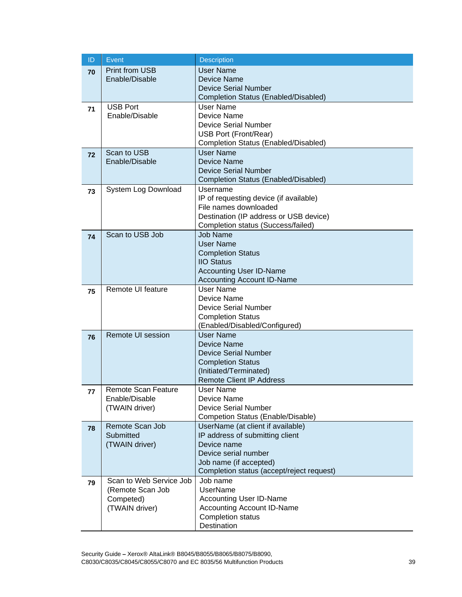| ID | Event                         | <b>Description</b>                                            |
|----|-------------------------------|---------------------------------------------------------------|
| 70 | <b>Print from USB</b>         | <b>User Name</b>                                              |
|    | Enable/Disable                | Device Name                                                   |
|    |                               | <b>Device Serial Number</b>                                   |
|    |                               | Completion Status (Enabled/Disabled)                          |
| 71 | <b>USB Port</b>               | User Name                                                     |
|    | Enable/Disable                | Device Name                                                   |
|    |                               | <b>Device Serial Number</b>                                   |
|    |                               | USB Port (Front/Rear)<br>Completion Status (Enabled/Disabled) |
|    | Scan to USB                   | <b>User Name</b>                                              |
| 72 | Enable/Disable                | Device Name                                                   |
|    |                               | <b>Device Serial Number</b>                                   |
|    |                               | Completion Status (Enabled/Disabled)                          |
| 73 | System Log Download           | Username                                                      |
|    |                               | IP of requesting device (if available)                        |
|    |                               | File names downloaded                                         |
|    |                               | Destination (IP address or USB device)                        |
|    |                               | Completion status (Success/failed)                            |
| 74 | Scan to USB Job               | <b>Job Name</b>                                               |
|    |                               | <b>User Name</b>                                              |
|    |                               | <b>Completion Status</b><br><b>IIO Status</b>                 |
|    |                               | <b>Accounting User ID-Name</b>                                |
|    |                               | <b>Accounting Account ID-Name</b>                             |
|    | Remote UI feature             | User Name                                                     |
| 75 |                               | Device Name                                                   |
|    |                               | <b>Device Serial Number</b>                                   |
|    |                               | <b>Completion Status</b>                                      |
|    |                               | (Enabled/Disabled/Configured)                                 |
| 76 | <b>Remote UI session</b>      | <b>User Name</b>                                              |
|    |                               | <b>Device Name</b>                                            |
|    |                               | <b>Device Serial Number</b>                                   |
|    |                               | <b>Completion Status</b>                                      |
|    |                               | (Initiated/Terminated)<br><b>Remote Client IP Address</b>     |
|    | Remote Scan Feature           | User Name                                                     |
| 77 | Enable/Disable                | Device Name                                                   |
|    | (TWAIN driver)                | <b>Device Serial Number</b>                                   |
|    |                               | Competion Status (Enable/Disable)                             |
| 78 | Remote Scan Job               | UserName (at client if available)                             |
|    | Submitted                     | IP address of submitting client                               |
|    | (TWAIN driver)                | Device name                                                   |
|    |                               | Device serial number                                          |
|    |                               | Job name (if accepted)                                        |
|    |                               | Completion status (accept/reject request)                     |
| 79 | Scan to Web Service Job       | Job name<br><b>UserName</b>                                   |
|    | (Remote Scan Job<br>Competed) | <b>Accounting User ID-Name</b>                                |
|    | (TWAIN driver)                | <b>Accounting Account ID-Name</b>                             |
|    |                               | Completion status                                             |
|    |                               | Destination                                                   |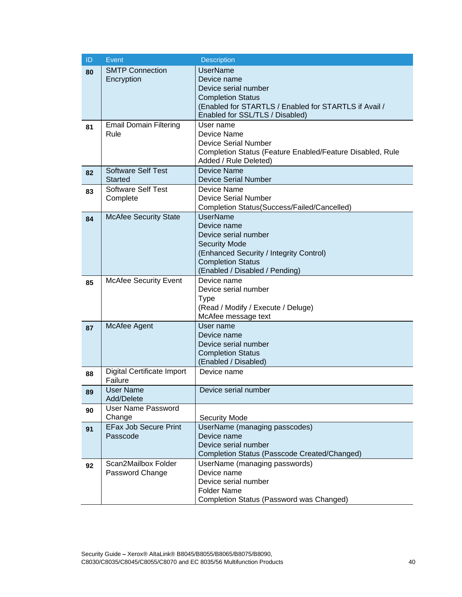| ID | Event                                  | Description                                                                       |
|----|----------------------------------------|-----------------------------------------------------------------------------------|
| 80 | <b>SMTP Connection</b>                 | <b>UserName</b>                                                                   |
|    | Encryption                             | Device name                                                                       |
|    |                                        | Device serial number                                                              |
|    |                                        | <b>Completion Status</b><br>(Enabled for STARTLS / Enabled for STARTLS if Avail / |
|    |                                        | Enabled for SSL/TLS / Disabled)                                                   |
| 81 | <b>Email Domain Filtering</b>          | User name                                                                         |
|    | Rule                                   | Device Name                                                                       |
|    |                                        | <b>Device Serial Number</b>                                                       |
|    |                                        | Completion Status (Feature Enabled/Feature Disabled, Rule                         |
|    | <b>Software Self Test</b>              | Added / Rule Deleted)<br><b>Device Name</b>                                       |
| 82 | <b>Started</b>                         | <b>Device Serial Number</b>                                                       |
| 83 | <b>Software Self Test</b>              | Device Name                                                                       |
|    | Complete                               | <b>Device Serial Number</b>                                                       |
|    |                                        | Completion Status(Success/Failed/Cancelled)                                       |
| 84 | <b>McAfee Security State</b>           | <b>UserName</b>                                                                   |
|    |                                        | Device name                                                                       |
|    |                                        | Device serial number<br><b>Security Mode</b>                                      |
|    |                                        | (Enhanced Security / Integrity Control)                                           |
|    |                                        | <b>Completion Status</b>                                                          |
|    |                                        | (Enabled / Disabled / Pending)                                                    |
| 85 | <b>McAfee Security Event</b>           | Device name                                                                       |
|    |                                        | Device serial number                                                              |
|    |                                        | Type<br>(Read / Modify / Execute / Deluge)                                        |
|    |                                        | McAfee message text                                                               |
| 87 | McAfee Agent                           | User name                                                                         |
|    |                                        | Device name                                                                       |
|    |                                        | Device serial number                                                              |
|    |                                        | <b>Completion Status</b>                                                          |
|    | Digital Certificate Import             | (Enabled / Disabled)<br>Device name                                               |
| 88 | Failure                                |                                                                                   |
| 89 | User Name                              | Device serial number                                                              |
|    | Add/Delete                             |                                                                                   |
| 90 | <b>User Name Password</b>              |                                                                                   |
|    | Change<br><b>EFax Job Secure Print</b> | <b>Security Mode</b><br>UserName (managing passcodes)                             |
| 91 | Passcode                               | Device name                                                                       |
|    |                                        | Device serial number                                                              |
|    |                                        | Completion Status (Passcode Created/Changed)                                      |
| 92 | Scan2Mailbox Folder                    | UserName (managing passwords)                                                     |
|    | Password Change                        | Device name                                                                       |
|    |                                        | Device serial number                                                              |
|    |                                        | <b>Folder Name</b><br>Completion Status (Password was Changed)                    |
|    |                                        |                                                                                   |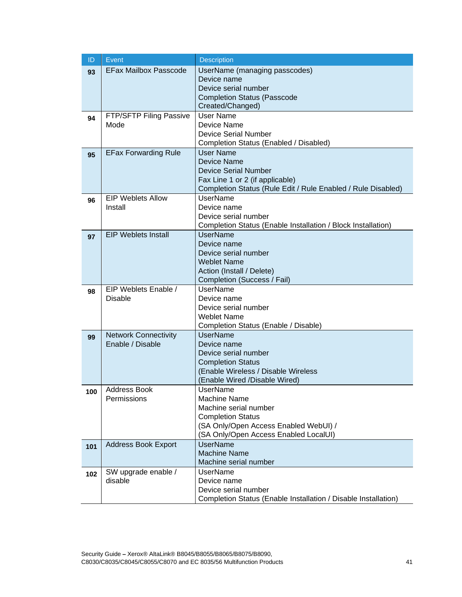| ID  | <b>Event</b>                                    | <b>Description</b>                                                                              |
|-----|-------------------------------------------------|-------------------------------------------------------------------------------------------------|
| 93  | <b>EFax Mailbox Passcode</b>                    | UserName (managing passcodes)                                                                   |
|     |                                                 | Device name                                                                                     |
|     |                                                 | Device serial number                                                                            |
|     |                                                 | <b>Completion Status (Passcode</b><br>Created/Changed)                                          |
|     | FTP/SFTP Filing Passive                         | <b>User Name</b>                                                                                |
| 94  | Mode                                            | Device Name                                                                                     |
|     |                                                 | <b>Device Serial Number</b>                                                                     |
|     |                                                 | Completion Status (Enabled / Disabled)                                                          |
| 95  | <b>EFax Forwarding Rule</b>                     | User Name                                                                                       |
|     |                                                 | Device Name                                                                                     |
|     |                                                 | <b>Device Serial Number</b>                                                                     |
|     |                                                 | Fax Line 1 or 2 (if applicable)<br>Completion Status (Rule Edit / Rule Enabled / Rule Disabled) |
|     | <b>EIP Weblets Allow</b>                        | <b>UserName</b>                                                                                 |
| 96  | Install                                         | Device name                                                                                     |
|     |                                                 | Device serial number                                                                            |
|     |                                                 | Completion Status (Enable Installation / Block Installation)                                    |
| 97  | <b>EIP Weblets Install</b>                      | <b>UserName</b>                                                                                 |
|     |                                                 | Device name                                                                                     |
|     |                                                 | Device serial number                                                                            |
|     |                                                 | <b>Weblet Name</b>                                                                              |
|     |                                                 | Action (Install / Delete)<br>Completion (Success / Fail)                                        |
| 98  | EIP Weblets Enable /                            | <b>UserName</b>                                                                                 |
|     | <b>Disable</b>                                  | Device name                                                                                     |
|     |                                                 | Device serial number                                                                            |
|     |                                                 | <b>Weblet Name</b>                                                                              |
|     |                                                 | Completion Status (Enable / Disable)                                                            |
| 99  | <b>Network Connectivity</b><br>Enable / Disable | UserName                                                                                        |
|     |                                                 | Device name<br>Device serial number                                                             |
|     |                                                 | <b>Completion Status</b>                                                                        |
|     |                                                 | (Enable Wireless / Disable Wireless                                                             |
|     |                                                 | (Enable Wired /Disable Wired)                                                                   |
| 100 | <b>Address Book</b>                             | UserName                                                                                        |
|     | Permissions                                     | <b>Machine Name</b>                                                                             |
|     |                                                 | Machine serial number                                                                           |
|     |                                                 | <b>Completion Status</b><br>(SA Only/Open Access Enabled WebUI) /                               |
|     |                                                 | (SA Only/Open Access Enabled LocalUI)                                                           |
| 101 | <b>Address Book Export</b>                      | <b>UserName</b>                                                                                 |
|     |                                                 | <b>Machine Name</b>                                                                             |
|     |                                                 | Machine serial number                                                                           |
| 102 | SW upgrade enable /                             | <b>UserName</b>                                                                                 |
|     | disable                                         | Device name                                                                                     |
|     |                                                 | Device serial number                                                                            |
|     |                                                 | Completion Status (Enable Installation / Disable Installation)                                  |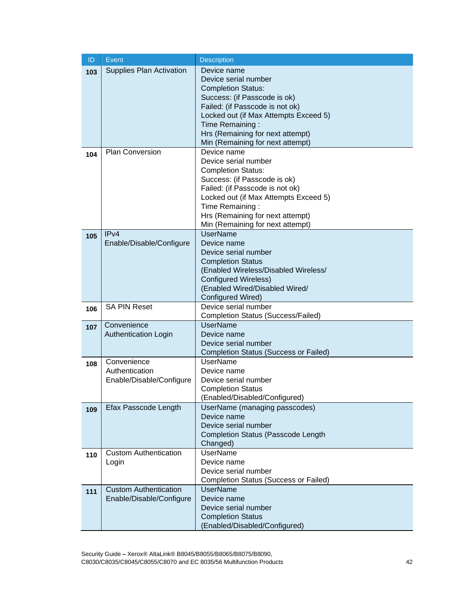| ID  | <b>Event</b>                                              | <b>Description</b>                                                                                                                                                                                                                                                      |
|-----|-----------------------------------------------------------|-------------------------------------------------------------------------------------------------------------------------------------------------------------------------------------------------------------------------------------------------------------------------|
| 103 | <b>Supplies Plan Activation</b>                           | Device name<br>Device serial number<br><b>Completion Status:</b><br>Success: (if Passcode is ok)<br>Failed: (if Passcode is not ok)<br>Locked out (if Max Attempts Exceed 5)<br>Time Remaining:<br>Hrs (Remaining for next attempt)<br>Min (Remaining for next attempt) |
| 104 | <b>Plan Conversion</b>                                    | Device name<br>Device serial number<br><b>Completion Status:</b><br>Success: (if Passcode is ok)<br>Failed: (if Passcode is not ok)<br>Locked out (if Max Attempts Exceed 5)<br>Time Remaining:<br>Hrs (Remaining for next attempt)<br>Min (Remaining for next attempt) |
| 105 | IPv4<br>Enable/Disable/Configure                          | <b>UserName</b><br>Device name<br>Device serial number<br><b>Completion Status</b><br>(Enabled Wireless/Disabled Wireless/<br><b>Configured Wireless)</b><br>(Enabled Wired/Disabled Wired/<br>Configured Wired)                                                        |
| 106 | <b>SA PIN Reset</b>                                       | Device serial number<br><b>Completion Status (Success/Failed)</b>                                                                                                                                                                                                       |
| 107 | Convenience<br><b>Authentication Login</b>                | <b>UserName</b><br>Device name<br>Device serial number<br><b>Completion Status (Success or Failed)</b>                                                                                                                                                                  |
| 108 | Convenience<br>Authentication<br>Enable/Disable/Configure | <b>UserName</b><br>Device name<br>Device serial number<br><b>Completion Status</b><br>(Enabled/Disabled/Configured)                                                                                                                                                     |
| 109 | Efax Passcode Length                                      | UserName (managing passcodes)<br>Device name<br>Device serial number<br><b>Completion Status (Passcode Length</b><br>Changed)                                                                                                                                           |
| 110 | <b>Custom Authentication</b><br>Login                     | <b>UserName</b><br>Device name<br>Device serial number<br><b>Completion Status (Success or Failed)</b>                                                                                                                                                                  |
| 111 | <b>Custom Authentication</b><br>Enable/Disable/Configure  | <b>UserName</b><br>Device name<br>Device serial number<br><b>Completion Status</b><br>(Enabled/Disabled/Configured)                                                                                                                                                     |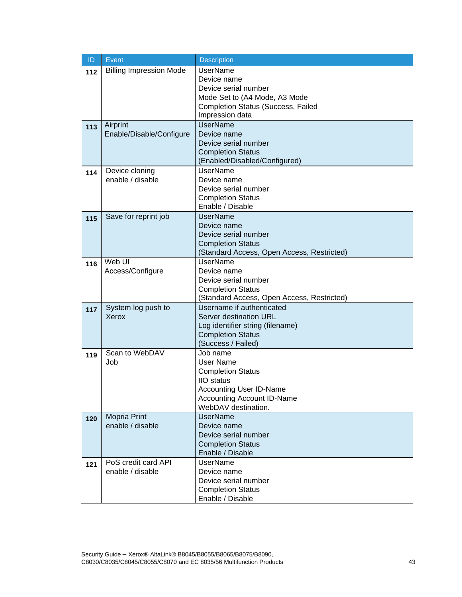| ID  | Event                          | <b>Description</b>                                                      |
|-----|--------------------------------|-------------------------------------------------------------------------|
| 112 | <b>Billing Impression Mode</b> | <b>UserName</b>                                                         |
|     |                                | Device name                                                             |
|     |                                | Device serial number                                                    |
|     |                                | Mode Set to (A4 Mode, A3 Mode                                           |
|     |                                | <b>Completion Status (Success, Failed</b><br>Impression data            |
|     | Airprint                       | <b>UserName</b>                                                         |
| 113 | Enable/Disable/Configure       | Device name                                                             |
|     |                                | Device serial number                                                    |
|     |                                | <b>Completion Status</b>                                                |
|     |                                | (Enabled/Disabled/Configured)                                           |
| 114 | Device cloning                 | <b>UserName</b>                                                         |
|     | enable / disable               | Device name                                                             |
|     |                                | Device serial number                                                    |
|     |                                | <b>Completion Status</b>                                                |
|     | Save for reprint job           | Enable / Disable<br><b>UserName</b>                                     |
| 115 |                                | Device name                                                             |
|     |                                | Device serial number                                                    |
|     |                                | <b>Completion Status</b>                                                |
|     |                                | (Standard Access, Open Access, Restricted)                              |
| 116 | Web UI                         | <b>UserName</b>                                                         |
|     | Access/Configure               | Device name                                                             |
|     |                                | Device serial number                                                    |
|     |                                | <b>Completion Status</b>                                                |
|     |                                | (Standard Access, Open Access, Restricted)<br>Username if authenticated |
| 117 | System log push to<br>Xerox    | Server destination URL                                                  |
|     |                                | Log identifier string (filename)                                        |
|     |                                | <b>Completion Status</b>                                                |
|     |                                | (Success / Failed)                                                      |
| 119 | Scan to WebDAV                 | Job name                                                                |
|     | Job                            | <b>User Name</b>                                                        |
|     |                                | <b>Completion Status</b>                                                |
|     |                                | <b>IIO</b> status                                                       |
|     |                                | <b>Accounting User ID-Name</b>                                          |
|     |                                | <b>Accounting Account ID-Name</b><br>WebDAV destination.                |
|     | Mopria Print                   | <b>UserName</b>                                                         |
| 120 | enable / disable               | Device name                                                             |
|     |                                | Device serial number                                                    |
|     |                                | <b>Completion Status</b>                                                |
|     |                                | Enable / Disable                                                        |
| 121 | PoS credit card API            | <b>UserName</b>                                                         |
|     | enable / disable               | Device name                                                             |
|     |                                | Device serial number                                                    |
|     |                                | <b>Completion Status</b>                                                |
|     |                                | Enable / Disable                                                        |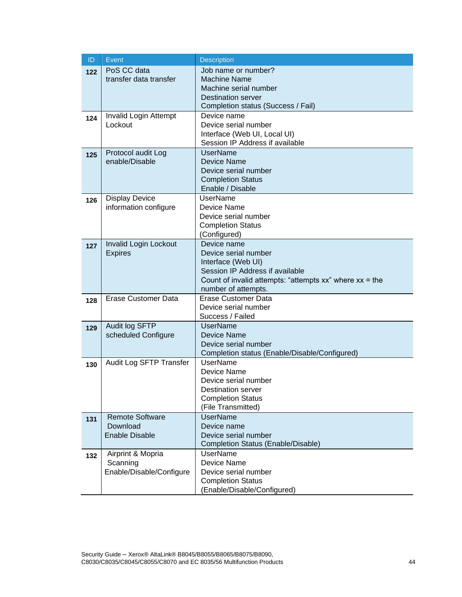| ID  | Event                             | <b>Description</b>                                                    |
|-----|-----------------------------------|-----------------------------------------------------------------------|
| 122 | PoS CC data                       | Job name or number?                                                   |
|     | transfer data transfer            | <b>Machine Name</b>                                                   |
|     |                                   | Machine serial number                                                 |
|     |                                   | <b>Destination server</b><br>Completion status (Success / Fail)       |
|     | Invalid Login Attempt             | Device name                                                           |
| 124 | Lockout                           | Device serial number                                                  |
|     |                                   | Interface (Web UI, Local UI)                                          |
|     |                                   | Session IP Address if available                                       |
| 125 | Protocol audit Log                | <b>UserName</b>                                                       |
|     | enable/Disable                    | Device Name                                                           |
|     |                                   | Device serial number                                                  |
|     |                                   | <b>Completion Status</b><br>Enable / Disable                          |
|     | <b>Display Device</b>             | <b>UserName</b>                                                       |
| 126 | information configure             | Device Name                                                           |
|     |                                   | Device serial number                                                  |
|     |                                   | <b>Completion Status</b>                                              |
|     |                                   | (Configured)                                                          |
| 127 | Invalid Login Lockout             | Device name                                                           |
|     | <b>Expires</b>                    | Device serial number                                                  |
|     |                                   | Interface (Web UI)<br>Session IP Address if available                 |
|     |                                   | Count of invalid attempts: "attempts $xx$ " where $xx =$ the          |
|     |                                   | number of attempts.                                                   |
| 128 | <b>Erase Customer Data</b>        | <b>Erase Customer Data</b>                                            |
|     |                                   | Device serial number                                                  |
|     |                                   | Success / Failed                                                      |
| 129 | Audit log SFTP                    | <b>UserName</b>                                                       |
|     | scheduled Configure               | <b>Device Name</b>                                                    |
|     |                                   | Device serial number<br>Completion status (Enable/Disable/Configured) |
|     | Audit Log SFTP Transfer           | <b>UserName</b>                                                       |
| 130 |                                   | Device Name                                                           |
|     |                                   | Device serial number                                                  |
|     |                                   | Destination server                                                    |
|     |                                   | <b>Completion Status</b>                                              |
|     |                                   | (File Transmitted)                                                    |
| 131 | <b>Remote Software</b>            | <b>UserName</b>                                                       |
|     | Download<br><b>Enable Disable</b> | Device name<br>Device serial number                                   |
|     |                                   | Completion Status (Enable/Disable)                                    |
| 132 | Airprint & Mopria                 | <b>UserName</b>                                                       |
|     | Scanning                          | <b>Device Name</b>                                                    |
|     | Enable/Disable/Configure          | Device serial number                                                  |
|     |                                   | <b>Completion Status</b>                                              |
|     |                                   | (Enable/Disable/Configured)                                           |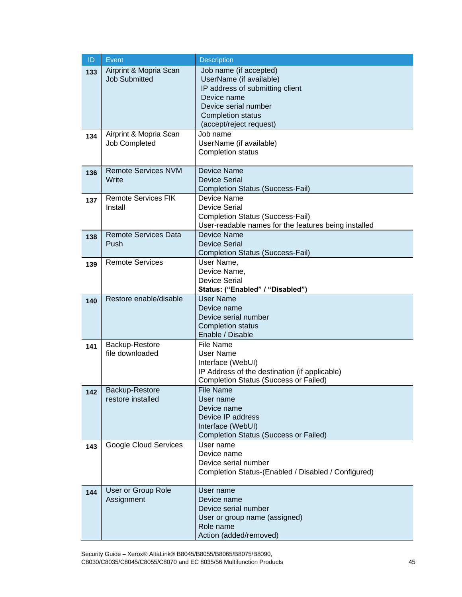| $\mathsf{ID}$ | Event                                          | <b>Description</b>                                                                                                                                                                 |
|---------------|------------------------------------------------|------------------------------------------------------------------------------------------------------------------------------------------------------------------------------------|
| 133           | Airprint & Mopria Scan<br><b>Job Submitted</b> | Job name (if accepted)<br>UserName (if available)<br>IP address of submitting client<br>Device name<br>Device serial number<br><b>Completion status</b><br>(accept/reject request) |
| 134           | Airprint & Mopria Scan<br>Job Completed        | Job name<br>UserName (if available)<br><b>Completion status</b>                                                                                                                    |
| 136           | <b>Remote Services NVM</b><br>Write            | <b>Device Name</b><br><b>Device Serial</b><br><b>Completion Status (Success-Fail)</b>                                                                                              |
| 137           | <b>Remote Services FIK</b><br>Install          | Device Name<br><b>Device Serial</b><br><b>Completion Status (Success-Fail)</b><br>User-readable names for the features being installed                                             |
| 138           | <b>Remote Services Data</b><br>Push            | Device Name<br><b>Device Serial</b><br><b>Completion Status (Success-Fail)</b>                                                                                                     |
| 139           | <b>Remote Services</b>                         | User Name,<br>Device Name,<br><b>Device Serial</b><br>Status: ("Enabled" / "Disabled")                                                                                             |
| 140           | Restore enable/disable                         | <b>User Name</b><br>Device name<br>Device serial number<br><b>Completion status</b><br>Enable / Disable                                                                            |
| 141           | Backup-Restore<br>file downloaded              | <b>File Name</b><br><b>User Name</b><br>Interface (WebUI)<br>IP Address of the destination (if applicable)<br><b>Completion Status (Success or Failed)</b>                         |
| 142           | <b>Backup-Restore</b><br>restore installed     | <b>File Name</b><br>User name<br>Device name<br>Device IP address<br>Interface (WebUI)<br><b>Completion Status (Success or Failed)</b>                                             |
| 143           | <b>Google Cloud Services</b>                   | User name<br>Device name<br>Device serial number<br>Completion Status-(Enabled / Disabled / Configured)                                                                            |
| 144           | User or Group Role<br>Assignment               | User name<br>Device name<br>Device serial number<br>User or group name (assigned)<br>Role name<br>Action (added/removed)                                                           |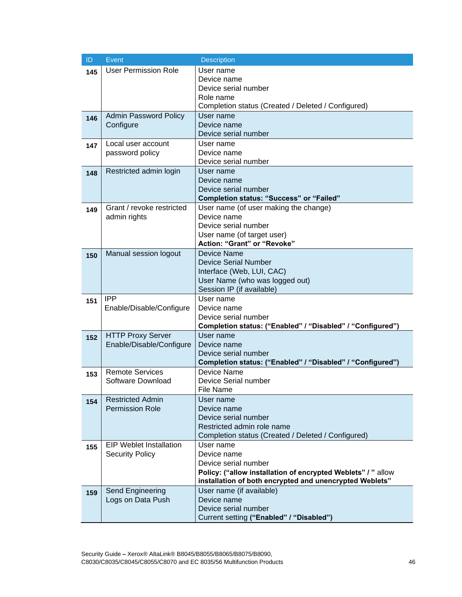| ID  | Event                          | Description                                                  |
|-----|--------------------------------|--------------------------------------------------------------|
| 145 | <b>User Permission Role</b>    | User name                                                    |
|     |                                | Device name                                                  |
|     |                                | Device serial number                                         |
|     |                                | Role name                                                    |
|     |                                | Completion status (Created / Deleted / Configured)           |
| 146 | <b>Admin Password Policy</b>   | User name                                                    |
|     | Configure                      | Device name<br>Device serial number                          |
|     | Local user account             | User name                                                    |
| 147 | password policy                | Device name                                                  |
|     |                                | Device serial number                                         |
|     | Restricted admin login         | User name                                                    |
| 148 |                                | Device name                                                  |
|     |                                | Device serial number                                         |
|     |                                | <b>Completion status: "Success" or "Failed"</b>              |
| 149 | Grant / revoke restricted      | User name (of user making the change)                        |
|     | admin rights                   | Device name                                                  |
|     |                                | Device serial number                                         |
|     |                                | User name (of target user)                                   |
|     |                                | Action: "Grant" or "Revoke"                                  |
| 150 | Manual session logout          | Device Name                                                  |
|     |                                | <b>Device Serial Number</b>                                  |
|     |                                | Interface (Web, LUI, CAC)                                    |
|     |                                | User Name (who was logged out)                               |
|     |                                | Session IP (if available)                                    |
| 151 | <b>IPP</b>                     | User name<br>Device name                                     |
|     | Enable/Disable/Configure       | Device serial number                                         |
|     |                                | Completion status: ("Enabled" / "Disabled" / "Configured")   |
| 152 | <b>HTTP Proxy Server</b>       | User name                                                    |
|     | Enable/Disable/Configure       | Device name                                                  |
|     |                                | Device serial number                                         |
|     |                                | Completion status: ("Enabled" / "Disabled" / "Configured")   |
| 153 | <b>Remote Services</b>         | Device Name                                                  |
|     | Software Download              | Device Serial number                                         |
|     |                                | File Name                                                    |
| 154 | <b>Restricted Admin</b>        | User name                                                    |
|     | <b>Permission Role</b>         | Device name                                                  |
|     |                                | Device serial number                                         |
|     |                                | Restricted admin role name                                   |
|     |                                | Completion status (Created / Deleted / Configured)           |
| 155 | <b>EIP Weblet Installation</b> | User name                                                    |
|     | <b>Security Policy</b>         | Device name<br>Device serial number                          |
|     |                                | Policy: ("allow installation of encrypted Weblets" / " allow |
|     |                                | installation of both encrypted and unencrypted Weblets"      |
| 159 | Send Engineering               | User name (if available)                                     |
|     | Logs on Data Push              | Device name                                                  |
|     |                                | Device serial number                                         |
|     |                                | Current setting ("Enabled" / "Disabled")                     |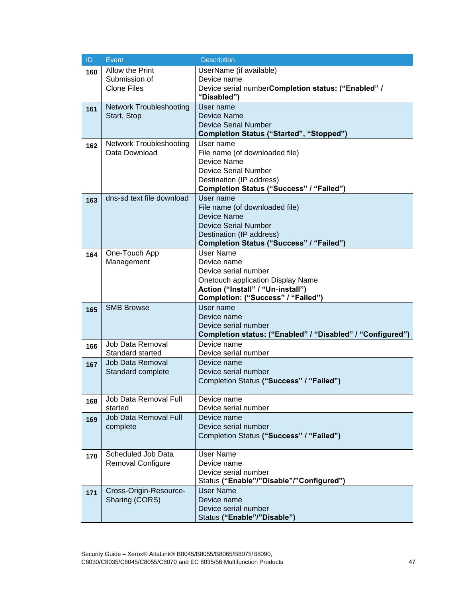| ID  | Event                             | <b>Description</b>                                                             |
|-----|-----------------------------------|--------------------------------------------------------------------------------|
| 160 | Allow the Print                   | UserName (if available)                                                        |
|     | Submission of                     | Device name                                                                    |
|     | <b>Clone Files</b>                | Device serial numberCompletion status: ("Enabled" /                            |
|     |                                   | "Disabled")                                                                    |
| 161 | <b>Network Troubleshooting</b>    | User name                                                                      |
|     | Start, Stop                       | Device Name                                                                    |
|     |                                   | <b>Device Serial Number</b><br><b>Completion Status ("Started", "Stopped")</b> |
|     | Network Troubleshooting           | User name                                                                      |
| 162 | Data Download                     | File name (of downloaded file)                                                 |
|     |                                   | Device Name                                                                    |
|     |                                   | <b>Device Serial Number</b>                                                    |
|     |                                   | Destination (IP address)                                                       |
|     |                                   | Completion Status ("Success" / "Failed")                                       |
| 163 | dns-sd text file download         | User name                                                                      |
|     |                                   | File name (of downloaded file)                                                 |
|     |                                   | Device Name                                                                    |
|     |                                   | <b>Device Serial Number</b>                                                    |
|     |                                   | Destination (IP address)                                                       |
|     |                                   | Completion Status ("Success" / "Failed")                                       |
| 164 | One-Touch App                     | User Name                                                                      |
|     | Management                        | Device name                                                                    |
|     |                                   | Device serial number                                                           |
|     |                                   | Onetouch application Display Name                                              |
|     |                                   | Action ("Install" / "Un-install")                                              |
|     | <b>SMB Browse</b>                 | Completion: ("Success" / "Failed")<br>User name                                |
| 165 |                                   | Device name                                                                    |
|     |                                   | Device serial number                                                           |
|     |                                   | Completion status: ("Enabled" / "Disabled" / "Configured")                     |
| 166 | Job Data Removal                  | Device name                                                                    |
|     | Standard started                  | Device serial number                                                           |
| 167 | <b>Job Data Removal</b>           | Device name                                                                    |
|     | Standard complete                 | Device serial number                                                           |
|     |                                   | Completion Status ("Success" / "Failed")                                       |
|     |                                   |                                                                                |
| 168 | Job Data Removal Full             | Device name                                                                    |
|     | started                           | Device serial number                                                           |
| 169 | Job Data Removal Full<br>complete | Device name<br>Device serial number                                            |
|     |                                   | Completion Status ("Success" / "Failed")                                       |
|     |                                   |                                                                                |
| 170 | Scheduled Job Data                | <b>User Name</b>                                                               |
|     | <b>Removal Configure</b>          | Device name                                                                    |
|     |                                   | Device serial number                                                           |
|     |                                   | Status ("Enable"/"Disable"/"Configured")                                       |
| 171 | Cross-Origin-Resource-            | <b>User Name</b>                                                               |
|     | Sharing (CORS)                    | Device name                                                                    |
|     |                                   | Device serial number                                                           |
|     |                                   | Status ("Enable"/"Disable")                                                    |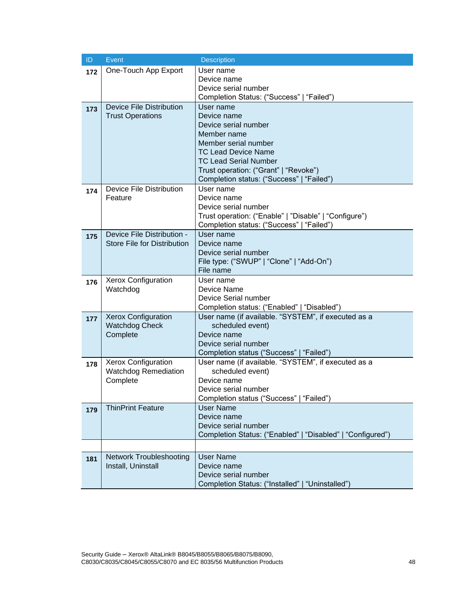| ID  | Event                              | <b>Description</b>                                                                 |
|-----|------------------------------------|------------------------------------------------------------------------------------|
| 172 | One-Touch App Export               | User name                                                                          |
|     |                                    | Device name                                                                        |
|     |                                    | Device serial number<br>Completion Status: ("Success"   "Failed")                  |
| 173 | <b>Device File Distribution</b>    | User name                                                                          |
|     | <b>Trust Operations</b>            | Device name                                                                        |
|     |                                    | Device serial number                                                               |
|     |                                    | Member name                                                                        |
|     |                                    | Member serial number                                                               |
|     |                                    | <b>TC Lead Device Name</b>                                                         |
|     |                                    | <b>TC Lead Serial Number</b>                                                       |
|     |                                    | Trust operation: ("Grant"   "Revoke")<br>Completion status: ("Success"   "Failed") |
|     | Device File Distribution           | User name                                                                          |
| 174 | Feature                            | Device name                                                                        |
|     |                                    | Device serial number                                                               |
|     |                                    | Trust operation: ("Enable"   "Disable"   "Configure")                              |
|     |                                    | Completion status: ("Success"   "Failed")                                          |
| 175 | Device File Distribution -         | User name                                                                          |
|     | <b>Store File for Distribution</b> | Device name                                                                        |
|     |                                    | Device serial number<br>File type: ("SWUP"   "Clone"   "Add-On")                   |
|     |                                    | File name                                                                          |
| 176 | Xerox Configuration                | User name                                                                          |
|     | Watchdog                           | Device Name                                                                        |
|     |                                    | Device Serial number                                                               |
|     |                                    | Completion status: ("Enabled"   "Disabled")                                        |
| 177 | <b>Xerox Configuration</b>         | User name (if available. "SYSTEM", if executed as a                                |
|     | <b>Watchdog Check</b><br>Complete  | scheduled event)<br>Device name                                                    |
|     |                                    | Device serial number                                                               |
|     |                                    | Completion status ("Success"   "Failed")                                           |
| 178 | <b>Xerox Configuration</b>         | User name (if available. "SYSTEM", if executed as a                                |
|     | <b>Watchdog Remediation</b>        | scheduled event)                                                                   |
|     | Complete                           | Device name                                                                        |
|     |                                    | Device serial number                                                               |
|     |                                    | Completion status ("Success"   "Failed")                                           |
| 179 | <b>ThinPrint Feature</b>           | <b>User Name</b><br>Device name                                                    |
|     |                                    | Device serial number                                                               |
|     |                                    | Completion Status: ("Enabled"   "Disabled"   "Configured")                         |
|     |                                    |                                                                                    |
| 181 | <b>Network Troubleshooting</b>     | <b>User Name</b>                                                                   |
|     | Install, Uninstall                 | Device name                                                                        |
|     |                                    | Device serial number                                                               |
|     |                                    | Completion Status: ("Installed"   "Uninstalled")                                   |